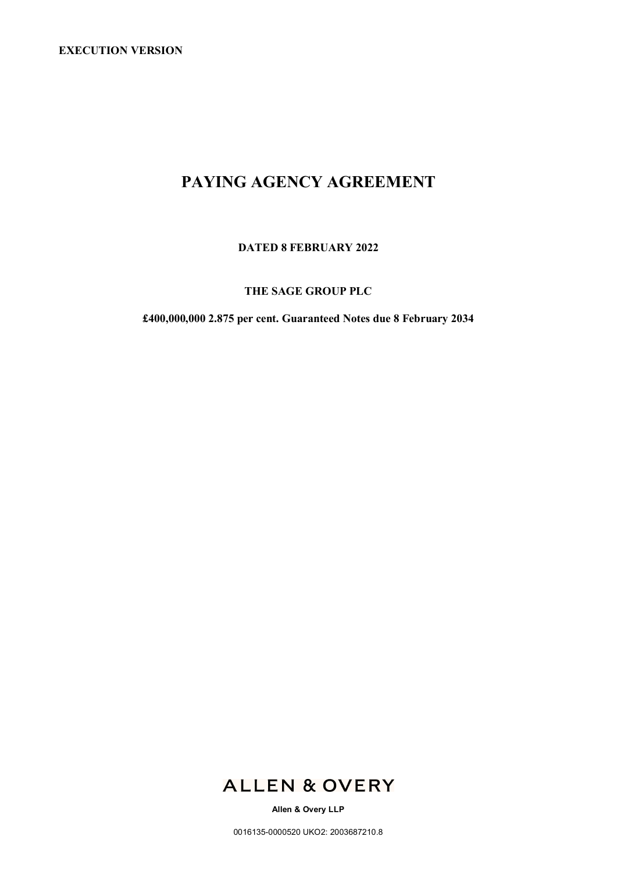# **PAYING AGENCY AGREEMENT**

**DATED 8 FEBRUARY 2022**

## **THE SAGE GROUP PLC**

**£400,000,000 2.875 per cent. Guaranteed Notes due 8 February 2034**



**Allen & Overy LLP**

0016135-0000520 UKO2: 2003687210.8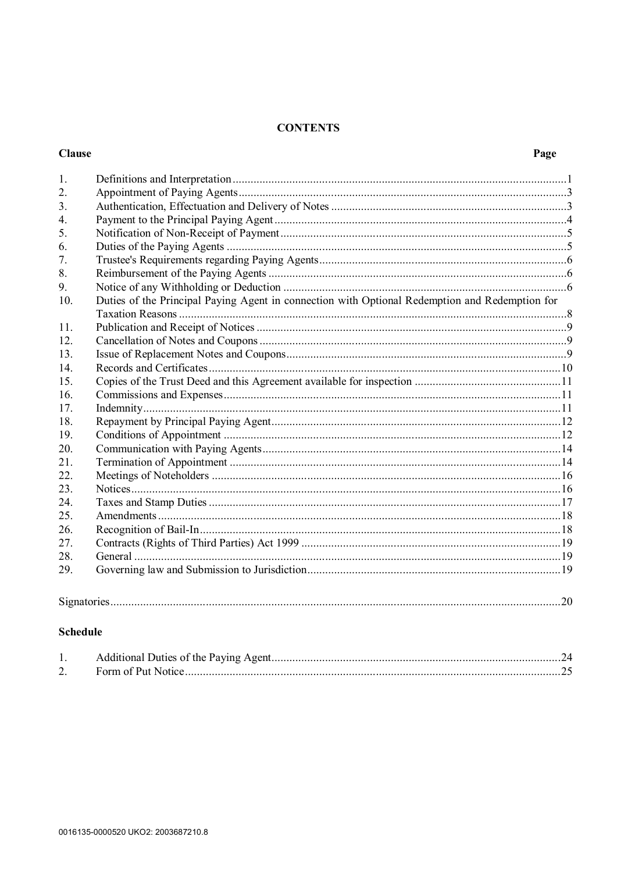## **CONTENTS**

## **Clause**

| 1.               |                                                                                                |  |
|------------------|------------------------------------------------------------------------------------------------|--|
| 2.               |                                                                                                |  |
| 3 <sub>1</sub>   |                                                                                                |  |
| $\overline{4}$ . |                                                                                                |  |
| 5.               |                                                                                                |  |
| 6.               |                                                                                                |  |
| 7.               |                                                                                                |  |
| 8.               |                                                                                                |  |
| 9.               |                                                                                                |  |
| 10.              | Duties of the Principal Paying Agent in connection with Optional Redemption and Redemption for |  |
| 11.              |                                                                                                |  |
| 12.              |                                                                                                |  |
| 13.              |                                                                                                |  |
| 14.              |                                                                                                |  |
| 15.              |                                                                                                |  |
| 16.              |                                                                                                |  |
| 17.              |                                                                                                |  |
| 18.              |                                                                                                |  |
| 19.              |                                                                                                |  |
| 20.              |                                                                                                |  |
| 21.              |                                                                                                |  |
| 22.              |                                                                                                |  |
| 23.              |                                                                                                |  |
| 24.              |                                                                                                |  |
| 25.              |                                                                                                |  |
| 26.              |                                                                                                |  |
| 27.              |                                                                                                |  |
| 28.              |                                                                                                |  |
| 29.              |                                                                                                |  |
|                  |                                                                                                |  |

## 

## **Schedule**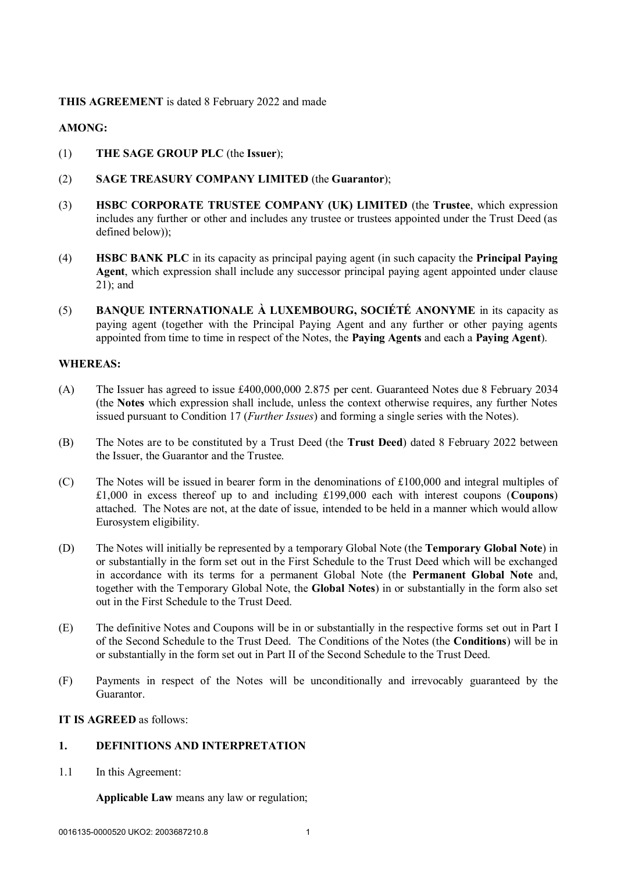## **THIS AGREEMENT** is dated 8 February 2022 and made

## **AMONG:**

- (1) **THE SAGE GROUP PLC** (the **Issuer**);
- (2) **SAGE TREASURY COMPANY LIMITED** (the **Guarantor**);
- (3) **HSBC CORPORATE TRUSTEE COMPANY (UK) LIMITED** (the **Trustee**, which expression includes any further or other and includes any trustee or trustees appointed under the Trust Deed (as defined below));
- (4) **HSBC BANK PLC** in its capacity as principal paying agent (in such capacity the **Principal Paying Agent**, which expression shall include any successor principal paying agent appointed under clause 21); and
- (5) **BANQUE INTERNATIONALE À LUXEMBOURG, SOCIÉTÉ ANONYME** in its capacity as paying agent (together with the Principal Paying Agent and any further or other paying agents appointed from time to time in respect of the Notes, the **Paying Agents** and each a **Paying Agent**).

#### **WHEREAS:**

- (A) The Issuer has agreed to issue £400,000,000 2.875 per cent. Guaranteed Notes due 8 February 2034 (the **Notes** which expression shall include, unless the context otherwise requires, any further Notes issued pursuant to Condition 17 (*Further Issues*) and forming a single series with the Notes).
- (B) The Notes are to be constituted by a Trust Deed (the **Trust Deed**) dated 8 February 2022 between the Issuer, the Guarantor and the Trustee.
- (C) The Notes will be issued in bearer form in the denominations of £100,000 and integral multiples of £1,000 in excess thereof up to and including £199,000 each with interest coupons (**Coupons**) attached. The Notes are not, at the date of issue, intended to be held in a manner which would allow Eurosystem eligibility.
- (D) The Notes will initially be represented by a temporary Global Note (the **Temporary Global Note**) in or substantially in the form set out in the First Schedule to the Trust Deed which will be exchanged in accordance with its terms for a permanent Global Note (the **Permanent Global Note** and, together with the Temporary Global Note, the **Global Notes**) in or substantially in the form also set out in the First Schedule to the Trust Deed.
- (E) The definitive Notes and Coupons will be in or substantially in the respective forms set out in Part I of the Second Schedule to the Trust Deed. The Conditions of the Notes (the **Conditions**) will be in or substantially in the form set out in Part II of the Second Schedule to the Trust Deed.
- (F) Payments in respect of the Notes will be unconditionally and irrevocably guaranteed by the Guarantor.

## **IT IS AGREED** as follows:

## **1. DEFINITIONS AND INTERPRETATION**

1.1 In this Agreement:

**Applicable Law** means any law or regulation;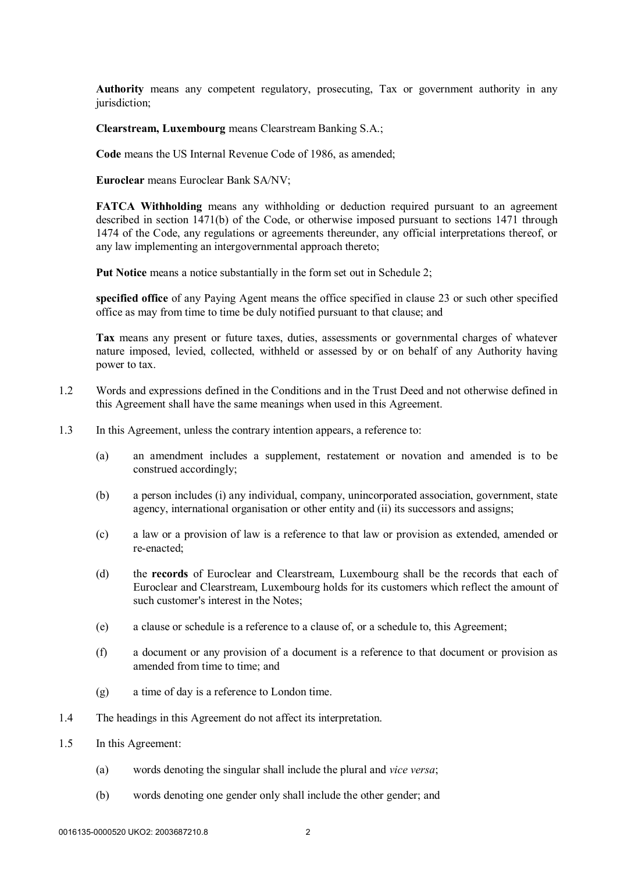**Authority** means any competent regulatory, prosecuting, Tax or government authority in any jurisdiction;

**Clearstream, Luxembourg** means Clearstream Banking S.A.;

**Code** means the US Internal Revenue Code of 1986, as amended;

**Euroclear** means Euroclear Bank SA/NV;

**FATCA Withholding** means any withholding or deduction required pursuant to an agreement described in section 1471(b) of the Code, or otherwise imposed pursuant to sections 1471 through 1474 of the Code, any regulations or agreements thereunder, any official interpretations thereof, or any law implementing an intergovernmental approach thereto;

**Put Notice** means a notice substantially in the form set out in Schedule 2;

**specified office** of any Paying Agent means the office specified in clause 23 or such other specified office as may from time to time be duly notified pursuant to that clause; and

**Tax** means any present or future taxes, duties, assessments or governmental charges of whatever nature imposed, levied, collected, withheld or assessed by or on behalf of any Authority having power to tax.

- 1.2 Words and expressions defined in the Conditions and in the Trust Deed and not otherwise defined in this Agreement shall have the same meanings when used in this Agreement.
- 1.3 In this Agreement, unless the contrary intention appears, a reference to:
	- (a) an amendment includes a supplement, restatement or novation and amended is to be construed accordingly;
	- (b) a person includes (i) any individual, company, unincorporated association, government, state agency, international organisation or other entity and (ii) its successors and assigns;
	- (c) a law or a provision of law is a reference to that law or provision as extended, amended or re-enacted;
	- (d) the **records** of Euroclear and Clearstream, Luxembourg shall be the records that each of Euroclear and Clearstream, Luxembourg holds for its customers which reflect the amount of such customer's interest in the Notes;
	- (e) a clause or schedule is a reference to a clause of, or a schedule to, this Agreement;
	- (f) a document or any provision of a document is a reference to that document or provision as amended from time to time; and
	- (g) a time of day is a reference to London time.
- 1.4 The headings in this Agreement do not affect its interpretation.
- 1.5 In this Agreement:
	- (a) words denoting the singular shall include the plural and *vice versa*;
	- (b) words denoting one gender only shall include the other gender; and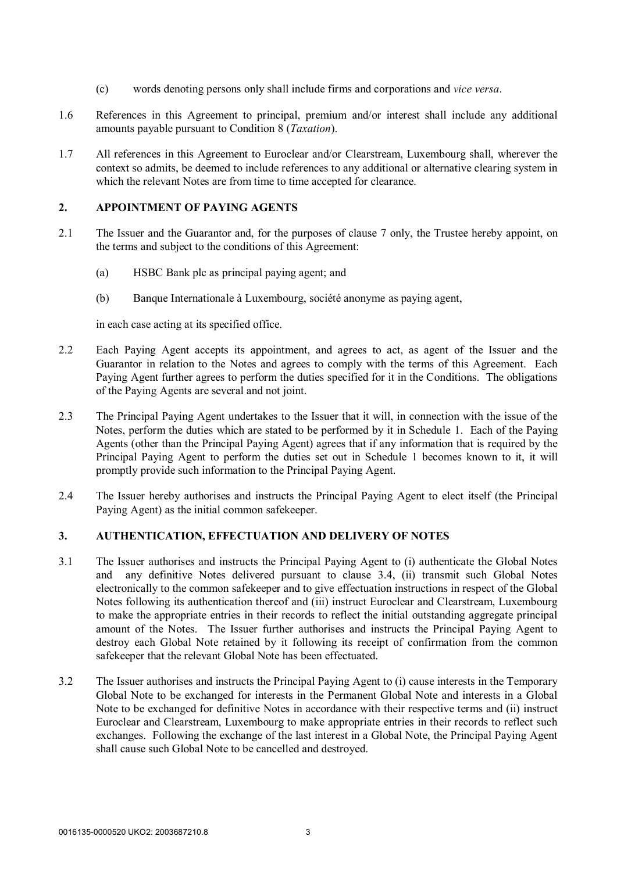- (c) words denoting persons only shall include firms and corporations and *vice versa*.
- 1.6 References in this Agreement to principal, premium and/or interest shall include any additional amounts payable pursuant to Condition 8 (*Taxation*).
- 1.7 All references in this Agreement to Euroclear and/or Clearstream, Luxembourg shall, wherever the context so admits, be deemed to include references to any additional or alternative clearing system in which the relevant Notes are from time to time accepted for clearance.

#### **2. APPOINTMENT OF PAYING AGENTS**

- 2.1 The Issuer and the Guarantor and, for the purposes of clause 7 only, the Trustee hereby appoint, on the terms and subject to the conditions of this Agreement:
	- (a) HSBC Bank plc as principal paying agent; and
	- (b) Banque Internationale à Luxembourg, société anonyme as paying agent,

in each case acting at its specified office.

- 2.2 Each Paying Agent accepts its appointment, and agrees to act, as agent of the Issuer and the Guarantor in relation to the Notes and agrees to comply with the terms of this Agreement. Each Paying Agent further agrees to perform the duties specified for it in the Conditions. The obligations of the Paying Agents are several and not joint.
- 2.3 The Principal Paying Agent undertakes to the Issuer that it will, in connection with the issue of the Notes, perform the duties which are stated to be performed by it in Schedule 1. Each of the Paying Agents (other than the Principal Paying Agent) agrees that if any information that is required by the Principal Paying Agent to perform the duties set out in Schedule 1 becomes known to it, it will promptly provide such information to the Principal Paying Agent.
- 2.4 The Issuer hereby authorises and instructs the Principal Paying Agent to elect itself (the Principal Paying Agent) as the initial common safekeeper.

## **3. AUTHENTICATION, EFFECTUATION AND DELIVERY OF NOTES**

- 3.1 The Issuer authorises and instructs the Principal Paying Agent to (i) authenticate the Global Notes and any definitive Notes delivered pursuant to clause 3.4, (ii) transmit such Global Notes electronically to the common safekeeper and to give effectuation instructions in respect of the Global Notes following its authentication thereof and (iii) instruct Euroclear and Clearstream, Luxembourg to make the appropriate entries in their records to reflect the initial outstanding aggregate principal amount of the Notes. The Issuer further authorises and instructs the Principal Paying Agent to destroy each Global Note retained by it following its receipt of confirmation from the common safekeeper that the relevant Global Note has been effectuated.
- 3.2 The Issuer authorises and instructs the Principal Paying Agent to (i) cause interests in the Temporary Global Note to be exchanged for interests in the Permanent Global Note and interests in a Global Note to be exchanged for definitive Notes in accordance with their respective terms and (ii) instruct Euroclear and Clearstream, Luxembourg to make appropriate entries in their records to reflect such exchanges. Following the exchange of the last interest in a Global Note, the Principal Paying Agent shall cause such Global Note to be cancelled and destroyed.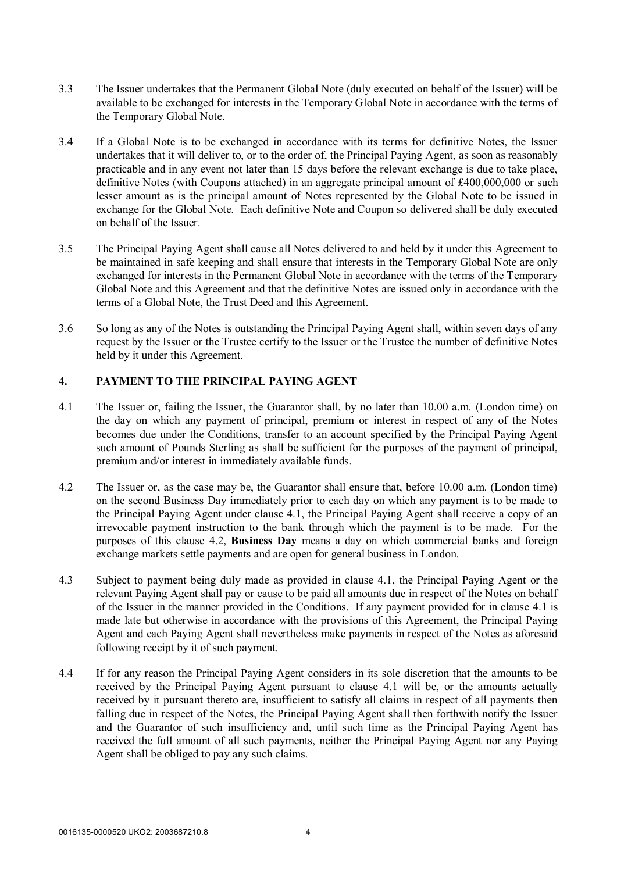- 3.3 The Issuer undertakes that the Permanent Global Note (duly executed on behalf of the Issuer) will be available to be exchanged for interests in the Temporary Global Note in accordance with the terms of the Temporary Global Note.
- 3.4 If a Global Note is to be exchanged in accordance with its terms for definitive Notes, the Issuer undertakes that it will deliver to, or to the order of, the Principal Paying Agent, as soon as reasonably practicable and in any event not later than 15 days before the relevant exchange is due to take place, definitive Notes (with Coupons attached) in an aggregate principal amount of £400,000,000 or such lesser amount as is the principal amount of Notes represented by the Global Note to be issued in exchange for the Global Note. Each definitive Note and Coupon so delivered shall be duly executed on behalf of the Issuer.
- 3.5 The Principal Paying Agent shall cause all Notes delivered to and held by it under this Agreement to be maintained in safe keeping and shall ensure that interests in the Temporary Global Note are only exchanged for interests in the Permanent Global Note in accordance with the terms of the Temporary Global Note and this Agreement and that the definitive Notes are issued only in accordance with the terms of a Global Note, the Trust Deed and this Agreement.
- 3.6 So long as any of the Notes is outstanding the Principal Paying Agent shall, within seven days of any request by the Issuer or the Trustee certify to the Issuer or the Trustee the number of definitive Notes held by it under this Agreement.

### **4. PAYMENT TO THE PRINCIPAL PAYING AGENT**

- 4.1 The Issuer or, failing the Issuer, the Guarantor shall, by no later than 10.00 a.m. (London time) on the day on which any payment of principal, premium or interest in respect of any of the Notes becomes due under the Conditions, transfer to an account specified by the Principal Paying Agent such amount of Pounds Sterling as shall be sufficient for the purposes of the payment of principal, premium and/or interest in immediately available funds.
- 4.2 The Issuer or, as the case may be, the Guarantor shall ensure that, before 10.00 a.m. (London time) on the second Business Day immediately prior to each day on which any payment is to be made to the Principal Paying Agent under clause 4.1, the Principal Paying Agent shall receive a copy of an irrevocable payment instruction to the bank through which the payment is to be made. For the purposes of this clause 4.2, **Business Day** means a day on which commercial banks and foreign exchange markets settle payments and are open for general business in London.
- 4.3 Subject to payment being duly made as provided in clause 4.1, the Principal Paying Agent or the relevant Paying Agent shall pay or cause to be paid all amounts due in respect of the Notes on behalf of the Issuer in the manner provided in the Conditions. If any payment provided for in clause 4.1 is made late but otherwise in accordance with the provisions of this Agreement, the Principal Paying Agent and each Paying Agent shall nevertheless make payments in respect of the Notes as aforesaid following receipt by it of such payment.
- 4.4 If for any reason the Principal Paying Agent considers in its sole discretion that the amounts to be received by the Principal Paying Agent pursuant to clause 4.1 will be, or the amounts actually received by it pursuant thereto are, insufficient to satisfy all claims in respect of all payments then falling due in respect of the Notes, the Principal Paying Agent shall then forthwith notify the Issuer and the Guarantor of such insufficiency and, until such time as the Principal Paying Agent has received the full amount of all such payments, neither the Principal Paying Agent nor any Paying Agent shall be obliged to pay any such claims.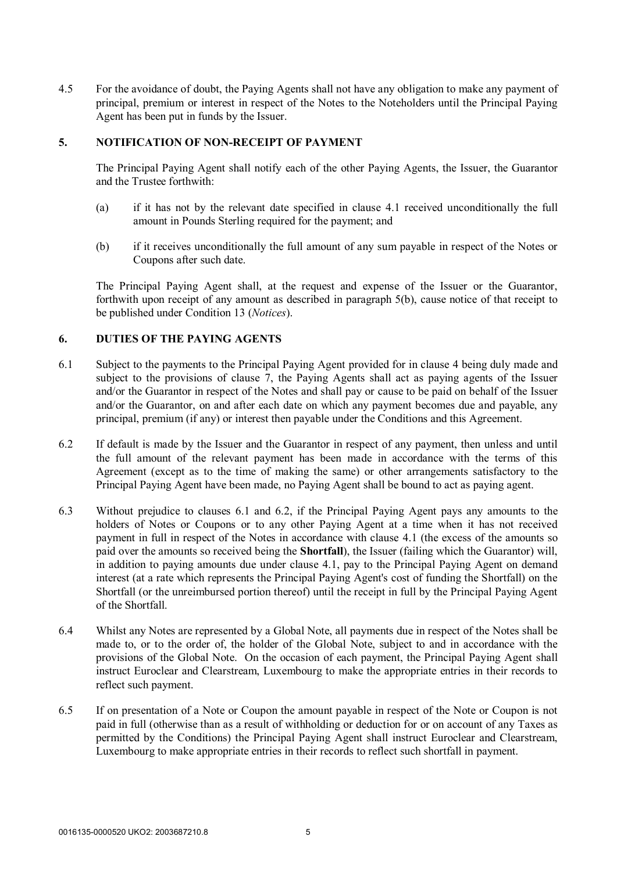4.5 For the avoidance of doubt, the Paying Agents shall not have any obligation to make any payment of principal, premium or interest in respect of the Notes to the Noteholders until the Principal Paying Agent has been put in funds by the Issuer.

## **5. NOTIFICATION OF NON-RECEIPT OF PAYMENT**

The Principal Paying Agent shall notify each of the other Paying Agents, the Issuer, the Guarantor and the Trustee forthwith:

- (a) if it has not by the relevant date specified in clause 4.1 received unconditionally the full amount in Pounds Sterling required for the payment; and
- (b) if it receives unconditionally the full amount of any sum payable in respect of the Notes or Coupons after such date.

The Principal Paying Agent shall, at the request and expense of the Issuer or the Guarantor, forthwith upon receipt of any amount as described in paragraph 5(b), cause notice of that receipt to be published under Condition 13 (*Notices*).

### **6. DUTIES OF THE PAYING AGENTS**

- 6.1 Subject to the payments to the Principal Paying Agent provided for in clause 4 being duly made and subject to the provisions of clause 7, the Paying Agents shall act as paying agents of the Issuer and/or the Guarantor in respect of the Notes and shall pay or cause to be paid on behalf of the Issuer and/or the Guarantor, on and after each date on which any payment becomes due and payable, any principal, premium (if any) or interest then payable under the Conditions and this Agreement.
- 6.2 If default is made by the Issuer and the Guarantor in respect of any payment, then unless and until the full amount of the relevant payment has been made in accordance with the terms of this Agreement (except as to the time of making the same) or other arrangements satisfactory to the Principal Paying Agent have been made, no Paying Agent shall be bound to act as paying agent.
- 6.3 Without prejudice to clauses 6.1 and 6.2, if the Principal Paying Agent pays any amounts to the holders of Notes or Coupons or to any other Paying Agent at a time when it has not received payment in full in respect of the Notes in accordance with clause 4.1 (the excess of the amounts so paid over the amounts so received being the **Shortfall**), the Issuer (failing which the Guarantor) will, in addition to paying amounts due under clause 4.1, pay to the Principal Paying Agent on demand interest (at a rate which represents the Principal Paying Agent's cost of funding the Shortfall) on the Shortfall (or the unreimbursed portion thereof) until the receipt in full by the Principal Paying Agent of the Shortfall.
- 6.4 Whilst any Notes are represented by a Global Note, all payments due in respect of the Notes shall be made to, or to the order of, the holder of the Global Note, subject to and in accordance with the provisions of the Global Note. On the occasion of each payment, the Principal Paying Agent shall instruct Euroclear and Clearstream, Luxembourg to make the appropriate entries in their records to reflect such payment.
- 6.5 If on presentation of a Note or Coupon the amount payable in respect of the Note or Coupon is not paid in full (otherwise than as a result of withholding or deduction for or on account of any Taxes as permitted by the Conditions) the Principal Paying Agent shall instruct Euroclear and Clearstream, Luxembourg to make appropriate entries in their records to reflect such shortfall in payment.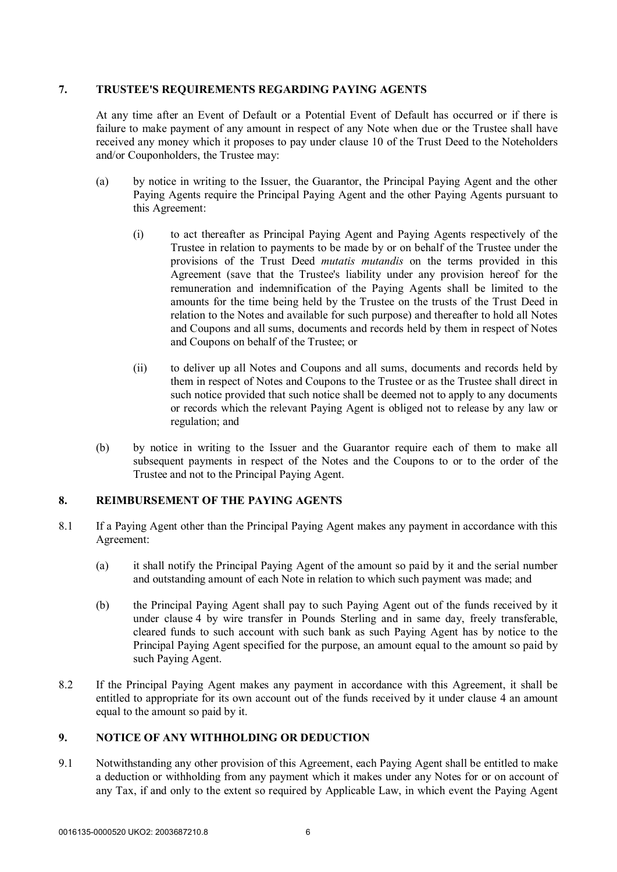## **7. TRUSTEE'S REQUIREMENTS REGARDING PAYING AGENTS**

At any time after an Event of Default or a Potential Event of Default has occurred or if there is failure to make payment of any amount in respect of any Note when due or the Trustee shall have received any money which it proposes to pay under clause 10 of the Trust Deed to the Noteholders and/or Couponholders, the Trustee may:

- (a) by notice in writing to the Issuer, the Guarantor, the Principal Paying Agent and the other Paying Agents require the Principal Paying Agent and the other Paying Agents pursuant to this Agreement:
	- (i) to act thereafter as Principal Paying Agent and Paying Agents respectively of the Trustee in relation to payments to be made by or on behalf of the Trustee under the provisions of the Trust Deed *mutatis mutandis* on the terms provided in this Agreement (save that the Trustee's liability under any provision hereof for the remuneration and indemnification of the Paying Agents shall be limited to the amounts for the time being held by the Trustee on the trusts of the Trust Deed in relation to the Notes and available for such purpose) and thereafter to hold all Notes and Coupons and all sums, documents and records held by them in respect of Notes and Coupons on behalf of the Trustee; or
	- (ii) to deliver up all Notes and Coupons and all sums, documents and records held by them in respect of Notes and Coupons to the Trustee or as the Trustee shall direct in such notice provided that such notice shall be deemed not to apply to any documents or records which the relevant Paying Agent is obliged not to release by any law or regulation; and
- (b) by notice in writing to the Issuer and the Guarantor require each of them to make all subsequent payments in respect of the Notes and the Coupons to or to the order of the Trustee and not to the Principal Paying Agent.

## **8. REIMBURSEMENT OF THE PAYING AGENTS**

- 8.1 If a Paying Agent other than the Principal Paying Agent makes any payment in accordance with this Agreement:
	- (a) it shall notify the Principal Paying Agent of the amount so paid by it and the serial number and outstanding amount of each Note in relation to which such payment was made; and
	- (b) the Principal Paying Agent shall pay to such Paying Agent out of the funds received by it under clause 4 by wire transfer in Pounds Sterling and in same day, freely transferable, cleared funds to such account with such bank as such Paying Agent has by notice to the Principal Paying Agent specified for the purpose, an amount equal to the amount so paid by such Paying Agent.
- 8.2 If the Principal Paying Agent makes any payment in accordance with this Agreement, it shall be entitled to appropriate for its own account out of the funds received by it under clause 4 an amount equal to the amount so paid by it.

## **9. NOTICE OF ANY WITHHOLDING OR DEDUCTION**

9.1 Notwithstanding any other provision of this Agreement, each Paying Agent shall be entitled to make a deduction or withholding from any payment which it makes under any Notes for or on account of any Tax, if and only to the extent so required by Applicable Law, in which event the Paying Agent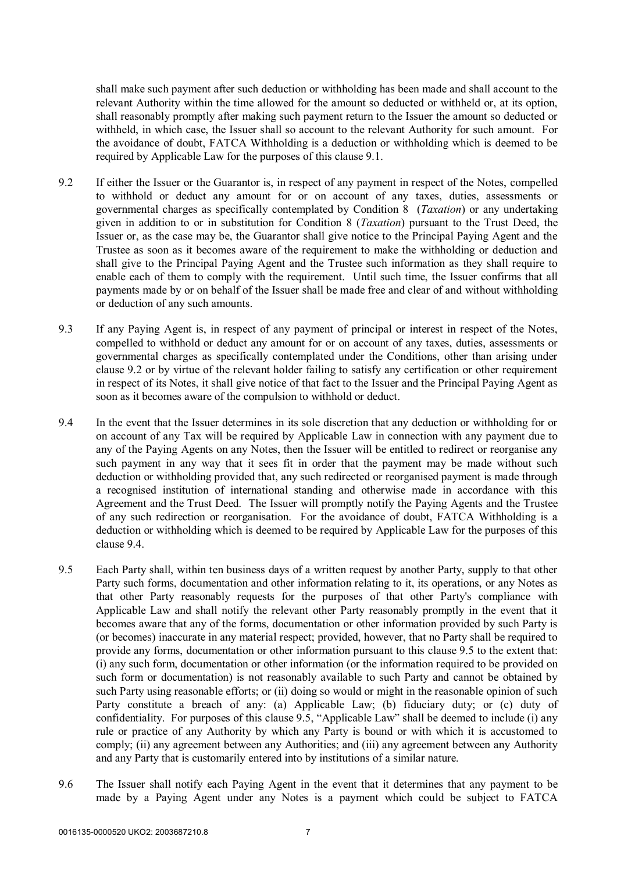shall make such payment after such deduction or withholding has been made and shall account to the relevant Authority within the time allowed for the amount so deducted or withheld or, at its option, shall reasonably promptly after making such payment return to the Issuer the amount so deducted or withheld, in which case, the Issuer shall so account to the relevant Authority for such amount. For the avoidance of doubt, FATCA Withholding is a deduction or withholding which is deemed to be required by Applicable Law for the purposes of this clause 9.1.

- 9.2 If either the Issuer or the Guarantor is, in respect of any payment in respect of the Notes, compelled to withhold or deduct any amount for or on account of any taxes, duties, assessments or governmental charges as specifically contemplated by Condition 8 (*Taxation*) or any undertaking given in addition to or in substitution for Condition 8 (*Taxation*) pursuant to the Trust Deed, the Issuer or, as the case may be, the Guarantor shall give notice to the Principal Paying Agent and the Trustee as soon as it becomes aware of the requirement to make the withholding or deduction and shall give to the Principal Paying Agent and the Trustee such information as they shall require to enable each of them to comply with the requirement. Until such time, the Issuer confirms that all payments made by or on behalf of the Issuer shall be made free and clear of and without withholding or deduction of any such amounts.
- 9.3 If any Paying Agent is, in respect of any payment of principal or interest in respect of the Notes, compelled to withhold or deduct any amount for or on account of any taxes, duties, assessments or governmental charges as specifically contemplated under the Conditions, other than arising under clause 9.2 or by virtue of the relevant holder failing to satisfy any certification or other requirement in respect of its Notes, it shall give notice of that fact to the Issuer and the Principal Paying Agent as soon as it becomes aware of the compulsion to withhold or deduct.
- 9.4 In the event that the Issuer determines in its sole discretion that any deduction or withholding for or on account of any Tax will be required by Applicable Law in connection with any payment due to any of the Paying Agents on any Notes, then the Issuer will be entitled to redirect or reorganise any such payment in any way that it sees fit in order that the payment may be made without such deduction or withholding provided that, any such redirected or reorganised payment is made through a recognised institution of international standing and otherwise made in accordance with this Agreement and the Trust Deed. The Issuer will promptly notify the Paying Agents and the Trustee of any such redirection or reorganisation. For the avoidance of doubt, FATCA Withholding is a deduction or withholding which is deemed to be required by Applicable Law for the purposes of this clause 9.4.
- 9.5 Each Party shall, within ten business days of a written request by another Party, supply to that other Party such forms, documentation and other information relating to it, its operations, or any Notes as that other Party reasonably requests for the purposes of that other Party's compliance with Applicable Law and shall notify the relevant other Party reasonably promptly in the event that it becomes aware that any of the forms, documentation or other information provided by such Party is (or becomes) inaccurate in any material respect; provided, however, that no Party shall be required to provide any forms, documentation or other information pursuant to this clause 9.5 to the extent that: (i) any such form, documentation or other information (or the information required to be provided on such form or documentation) is not reasonably available to such Party and cannot be obtained by such Party using reasonable efforts; or (ii) doing so would or might in the reasonable opinion of such Party constitute a breach of any: (a) Applicable Law; (b) fiduciary duty; or (c) duty of confidentiality. For purposes of this clause 9.5, "Applicable Law" shall be deemed to include (i) any rule or practice of any Authority by which any Party is bound or with which it is accustomed to comply; (ii) any agreement between any Authorities; and (iii) any agreement between any Authority and any Party that is customarily entered into by institutions of a similar nature.
- 9.6 The Issuer shall notify each Paying Agent in the event that it determines that any payment to be made by a Paying Agent under any Notes is a payment which could be subject to FATCA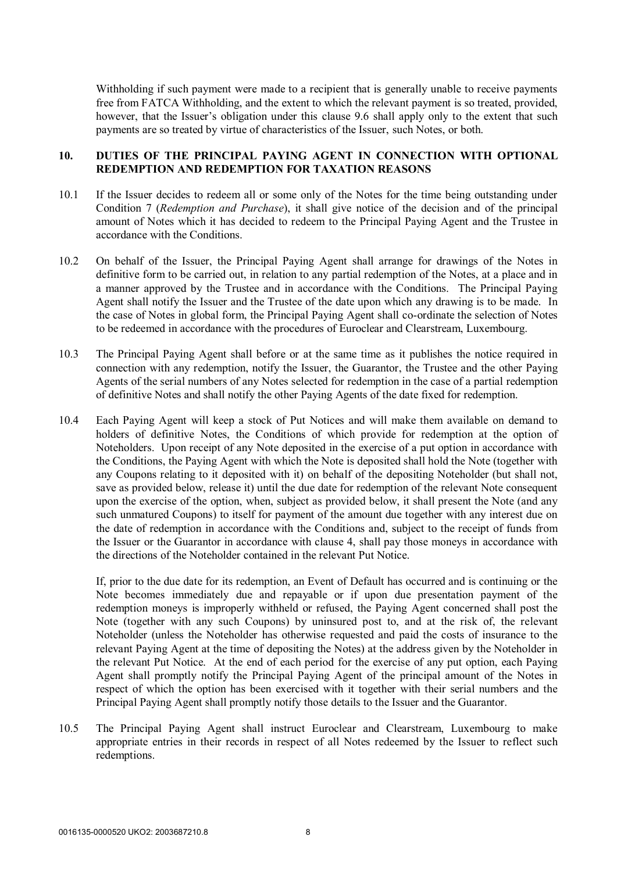Withholding if such payment were made to a recipient that is generally unable to receive payments free from FATCA Withholding, and the extent to which the relevant payment is so treated, provided, however, that the Issuer's obligation under this clause 9.6 shall apply only to the extent that such payments are so treated by virtue of characteristics of the Issuer, such Notes, or both.

### **10. DUTIES OF THE PRINCIPAL PAYING AGENT IN CONNECTION WITH OPTIONAL REDEMPTION AND REDEMPTION FOR TAXATION REASONS**

- 10.1 If the Issuer decides to redeem all or some only of the Notes for the time being outstanding under Condition 7 (*Redemption and Purchase*), it shall give notice of the decision and of the principal amount of Notes which it has decided to redeem to the Principal Paying Agent and the Trustee in accordance with the Conditions.
- 10.2 On behalf of the Issuer, the Principal Paying Agent shall arrange for drawings of the Notes in definitive form to be carried out, in relation to any partial redemption of the Notes, at a place and in a manner approved by the Trustee and in accordance with the Conditions. The Principal Paying Agent shall notify the Issuer and the Trustee of the date upon which any drawing is to be made. In the case of Notes in global form, the Principal Paying Agent shall co-ordinate the selection of Notes to be redeemed in accordance with the procedures of Euroclear and Clearstream, Luxembourg.
- 10.3 The Principal Paying Agent shall before or at the same time as it publishes the notice required in connection with any redemption, notify the Issuer, the Guarantor, the Trustee and the other Paying Agents of the serial numbers of any Notes selected for redemption in the case of a partial redemption of definitive Notes and shall notify the other Paying Agents of the date fixed for redemption.
- 10.4 Each Paying Agent will keep a stock of Put Notices and will make them available on demand to holders of definitive Notes, the Conditions of which provide for redemption at the option of Noteholders. Upon receipt of any Note deposited in the exercise of a put option in accordance with the Conditions, the Paying Agent with which the Note is deposited shall hold the Note (together with any Coupons relating to it deposited with it) on behalf of the depositing Noteholder (but shall not, save as provided below, release it) until the due date for redemption of the relevant Note consequent upon the exercise of the option, when, subject as provided below, it shall present the Note (and any such unmatured Coupons) to itself for payment of the amount due together with any interest due on the date of redemption in accordance with the Conditions and, subject to the receipt of funds from the Issuer or the Guarantor in accordance with clause 4, shall pay those moneys in accordance with the directions of the Noteholder contained in the relevant Put Notice.

If, prior to the due date for its redemption, an Event of Default has occurred and is continuing or the Note becomes immediately due and repayable or if upon due presentation payment of the redemption moneys is improperly withheld or refused, the Paying Agent concerned shall post the Note (together with any such Coupons) by uninsured post to, and at the risk of, the relevant Noteholder (unless the Noteholder has otherwise requested and paid the costs of insurance to the relevant Paying Agent at the time of depositing the Notes) at the address given by the Noteholder in the relevant Put Notice. At the end of each period for the exercise of any put option, each Paying Agent shall promptly notify the Principal Paying Agent of the principal amount of the Notes in respect of which the option has been exercised with it together with their serial numbers and the Principal Paying Agent shall promptly notify those details to the Issuer and the Guarantor.

10.5 The Principal Paying Agent shall instruct Euroclear and Clearstream, Luxembourg to make appropriate entries in their records in respect of all Notes redeemed by the Issuer to reflect such redemptions.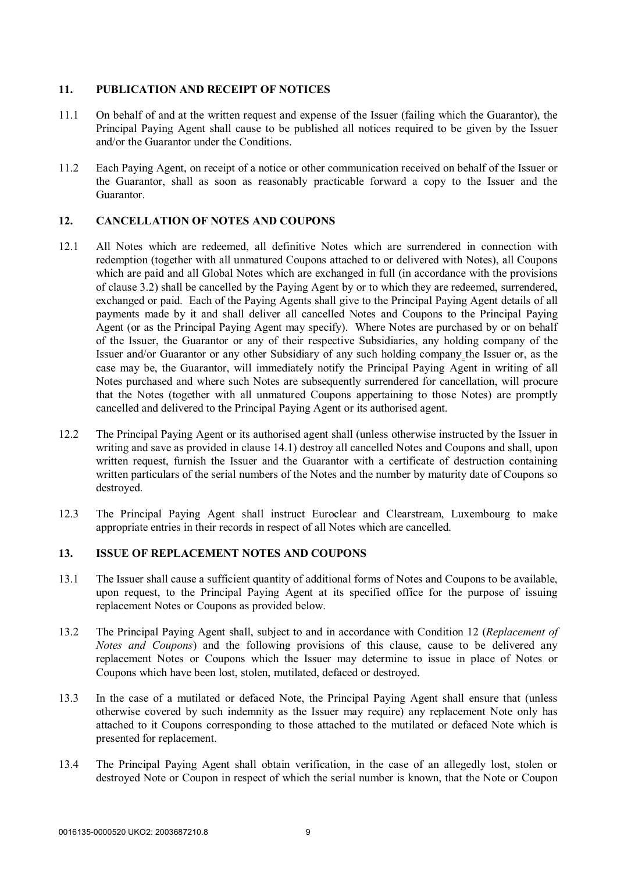### **11. PUBLICATION AND RECEIPT OF NOTICES**

- 11.1 On behalf of and at the written request and expense of the Issuer (failing which the Guarantor), the Principal Paying Agent shall cause to be published all notices required to be given by the Issuer and/or the Guarantor under the Conditions.
- 11.2 Each Paying Agent, on receipt of a notice or other communication received on behalf of the Issuer or the Guarantor, shall as soon as reasonably practicable forward a copy to the Issuer and the Guarantor.

## **12. CANCELLATION OF NOTES AND COUPONS**

- 12.1 All Notes which are redeemed, all definitive Notes which are surrendered in connection with redemption (together with all unmatured Coupons attached to or delivered with Notes), all Coupons which are paid and all Global Notes which are exchanged in full (in accordance with the provisions of clause 3.2) shall be cancelled by the Paying Agent by or to which they are redeemed, surrendered, exchanged or paid. Each of the Paying Agents shall give to the Principal Paying Agent details of all payments made by it and shall deliver all cancelled Notes and Coupons to the Principal Paying Agent (or as the Principal Paying Agent may specify). Where Notes are purchased by or on behalf of the Issuer, the Guarantor or any of their respective Subsidiaries, any holding company of the Issuer and/or Guarantor or any other Subsidiary of any such holding company the Issuer or, as the case may be, the Guarantor, will immediately notify the Principal Paying Agent in writing of all Notes purchased and where such Notes are subsequently surrendered for cancellation, will procure that the Notes (together with all unmatured Coupons appertaining to those Notes) are promptly cancelled and delivered to the Principal Paying Agent or its authorised agent.
- 12.2 The Principal Paying Agent or its authorised agent shall (unless otherwise instructed by the Issuer in writing and save as provided in clause 14.1) destroy all cancelled Notes and Coupons and shall, upon written request, furnish the Issuer and the Guarantor with a certificate of destruction containing written particulars of the serial numbers of the Notes and the number by maturity date of Coupons so destroyed.
- 12.3 The Principal Paying Agent shall instruct Euroclear and Clearstream, Luxembourg to make appropriate entries in their records in respect of all Notes which are cancelled.

#### **13. ISSUE OF REPLACEMENT NOTES AND COUPONS**

- 13.1 The Issuer shall cause a sufficient quantity of additional forms of Notes and Coupons to be available, upon request, to the Principal Paying Agent at its specified office for the purpose of issuing replacement Notes or Coupons as provided below.
- 13.2 The Principal Paying Agent shall, subject to and in accordance with Condition 12 (*Replacement of Notes and Coupons*) and the following provisions of this clause, cause to be delivered any replacement Notes or Coupons which the Issuer may determine to issue in place of Notes or Coupons which have been lost, stolen, mutilated, defaced or destroyed.
- 13.3 In the case of a mutilated or defaced Note, the Principal Paying Agent shall ensure that (unless otherwise covered by such indemnity as the Issuer may require) any replacement Note only has attached to it Coupons corresponding to those attached to the mutilated or defaced Note which is presented for replacement.
- 13.4 The Principal Paying Agent shall obtain verification, in the case of an allegedly lost, stolen or destroyed Note or Coupon in respect of which the serial number is known, that the Note or Coupon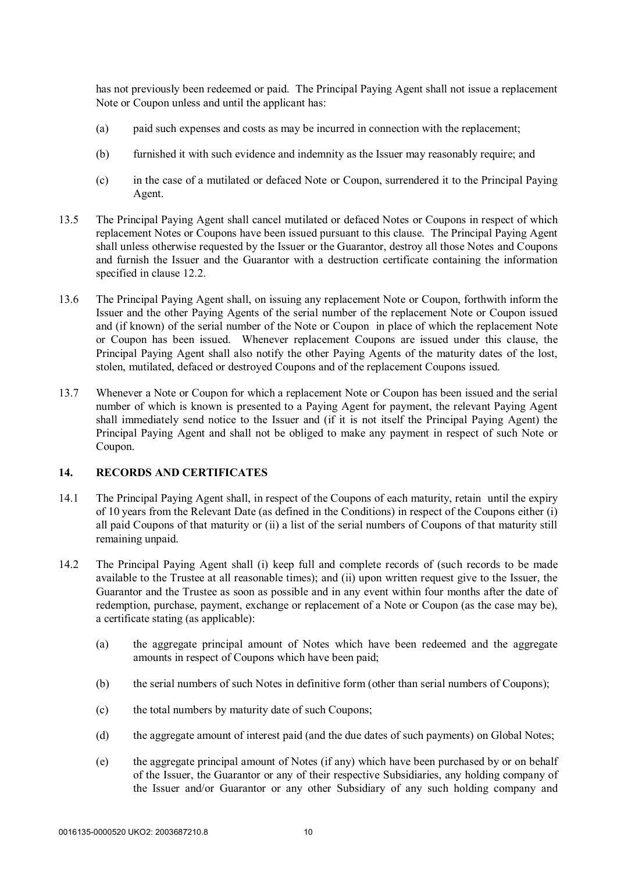has not previously been redeemed or paid. The Principal Paying Agent shall not issue a replacement Note or Coupon unless and until the applicant has:

- (a) paid such expenses and costs as may be incurred in connection with the replacement;
- (b) furnished it with such evidence and indemnity as the Issuer may reasonably require; and
- (c) in the case of a mutilated or defaced Note or Coupon, surrendered it to the Principal Paying Agent.
- 13.5 The Principal Paying Agent shall cancel mutilated or defaced Notes or Coupons in respect of which replacement Notes or Coupons have been issued pursuant to this clause. The Principal Paying Agent shall unless otherwise requested by the Issuer or the Guarantor, destroy all those Notes and Coupons and furnish the Issuer and the Guarantor with a destruction certificate containing the information specified in clause 12.2.
- 13.6 The Principal Paying Agent shall, on issuing any replacement Note or Coupon, forthwith inform the Issuer and the other Paying Agents of the serial number of the replacement Note or Coupon issued and (if known) of the serial number of the Note or Coupon in place of which the replacement Note or Coupon has been issued. Whenever replacement Coupons are issued under this clause, the Principal Paying Agent shall also notify the other Paying Agents of the maturity dates of the lost, stolen, mutilated, defaced or destroyed Coupons and of the replacement Coupons issued.
- 13.7 Whenever a Note or Coupon for which a replacement Note or Coupon has been issued and the serial number of which is known is presented to a Paying Agent for payment, the relevant Paying Agent shall immediately send notice to the Issuer and (if it is not itself the Principal Paying Agent) the Principal Paying Agent and shall not be obliged to make any payment in respect of such Note or Coupon.

#### **14. RECORDS AND CERTIFICATES**

- 14.1 The Principal Paying Agent shall, in respect of the Coupons of each maturity, retain until the expiry of 10 years from the Relevant Date (as defined in the Conditions) in respect of the Coupons either (i) all paid Coupons of that maturity or (ii) a list of the serial numbers of Coupons of that maturity still remaining unpaid.
- 14.2 The Principal Paying Agent shall (i) keep full and complete records of (such records to be made available to the Trustee at all reasonable times); and (ii) upon written request give to the Issuer, the Guarantor and the Trustee as soon as possible and in any event within four months after the date of redemption, purchase, payment, exchange or replacement of a Note or Coupon (as the case may be), a certificate stating (as applicable):
	- (a) the aggregate principal amount of Notes which have been redeemed and the aggregate amounts in respect of Coupons which have been paid;
	- (b) the serial numbers of such Notes in definitive form (other than serial numbers of Coupons);
	- (c) the total numbers by maturity date of such Coupons;
	- (d) the aggregate amount of interest paid (and the due dates of such payments) on Global Notes;
	- (e) the aggregate principal amount of Notes (if any) which have been purchased by or on behalf of the Issuer, the Guarantor or any of their respective Subsidiaries, any holding company of the Issuer and/or Guarantor or any other Subsidiary of any such holding company and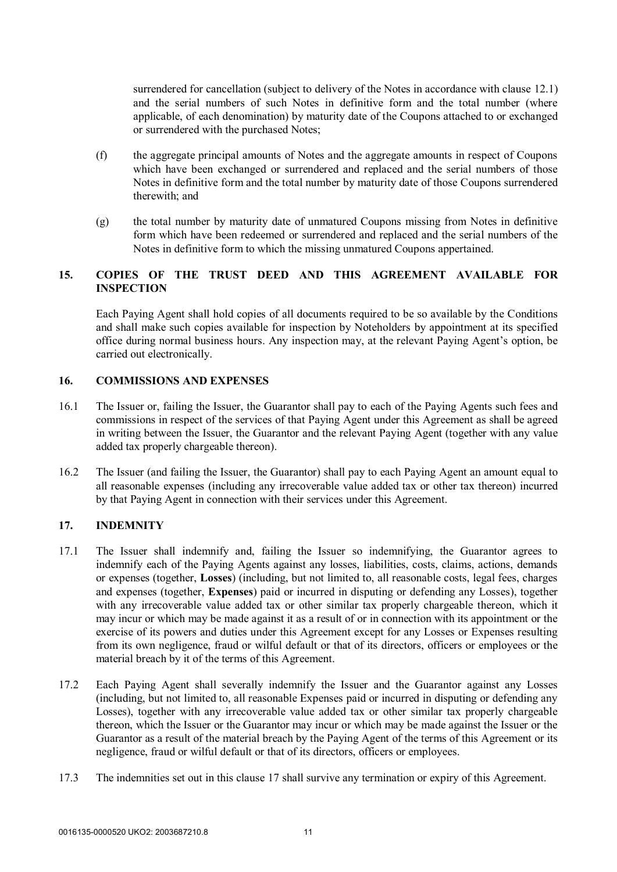surrendered for cancellation (subject to delivery of the Notes in accordance with clause 12.1) and the serial numbers of such Notes in definitive form and the total number (where applicable, of each denomination) by maturity date of the Coupons attached to or exchanged or surrendered with the purchased Notes;

- (f) the aggregate principal amounts of Notes and the aggregate amounts in respect of Coupons which have been exchanged or surrendered and replaced and the serial numbers of those Notes in definitive form and the total number by maturity date of those Coupons surrendered therewith; and
- (g) the total number by maturity date of unmatured Coupons missing from Notes in definitive form which have been redeemed or surrendered and replaced and the serial numbers of the Notes in definitive form to which the missing unmatured Coupons appertained.

## **15. COPIES OF THE TRUST DEED AND THIS AGREEMENT AVAILABLE FOR INSPECTION**

Each Paying Agent shall hold copies of all documents required to be so available by the Conditions and shall make such copies available for inspection by Noteholders by appointment at its specified office during normal business hours. Any inspection may, at the relevant Paying Agent's option, be carried out electronically.

### **16. COMMISSIONS AND EXPENSES**

- 16.1 The Issuer or, failing the Issuer, the Guarantor shall pay to each of the Paying Agents such fees and commissions in respect of the services of that Paying Agent under this Agreement as shall be agreed in writing between the Issuer, the Guarantor and the relevant Paying Agent (together with any value added tax properly chargeable thereon).
- 16.2 The Issuer (and failing the Issuer, the Guarantor) shall pay to each Paying Agent an amount equal to all reasonable expenses (including any irrecoverable value added tax or other tax thereon) incurred by that Paying Agent in connection with their services under this Agreement.

## **17. INDEMNITY**

- 17.1 The Issuer shall indemnify and, failing the Issuer so indemnifying, the Guarantor agrees to indemnify each of the Paying Agents against any losses, liabilities, costs, claims, actions, demands or expenses (together, **Losses**) (including, but not limited to, all reasonable costs, legal fees, charges and expenses (together, **Expenses**) paid or incurred in disputing or defending any Losses), together with any irrecoverable value added tax or other similar tax properly chargeable thereon, which it may incur or which may be made against it as a result of or in connection with its appointment or the exercise of its powers and duties under this Agreement except for any Losses or Expenses resulting from its own negligence, fraud or wilful default or that of its directors, officers or employees or the material breach by it of the terms of this Agreement.
- 17.2 Each Paying Agent shall severally indemnify the Issuer and the Guarantor against any Losses (including, but not limited to, all reasonable Expenses paid or incurred in disputing or defending any Losses), together with any irrecoverable value added tax or other similar tax properly chargeable thereon, which the Issuer or the Guarantor may incur or which may be made against the Issuer or the Guarantor as a result of the material breach by the Paying Agent of the terms of this Agreement or its negligence, fraud or wilful default or that of its directors, officers or employees.
- 17.3 The indemnities set out in this clause 17 shall survive any termination or expiry of this Agreement.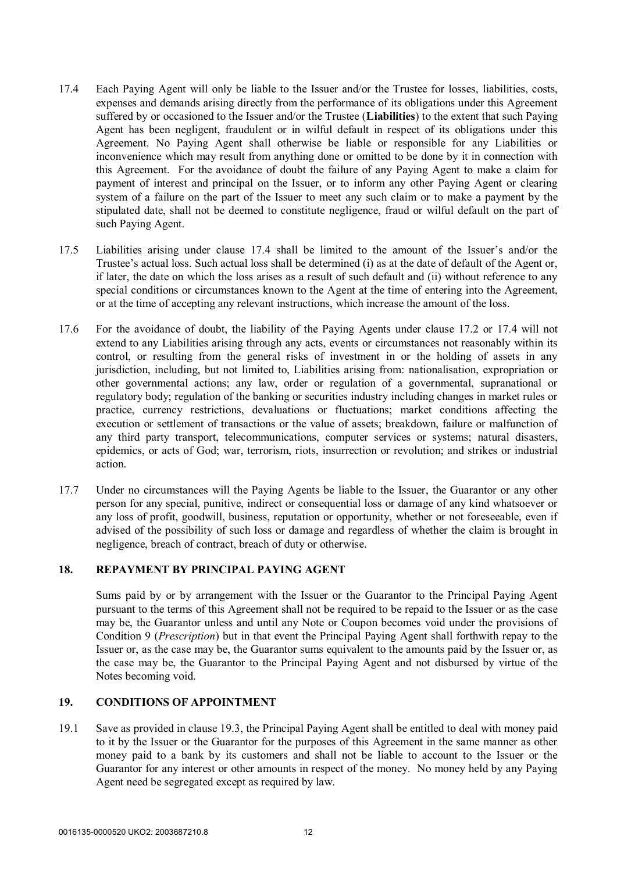- 17.4 Each Paying Agent will only be liable to the Issuer and/or the Trustee for losses, liabilities, costs, expenses and demands arising directly from the performance of its obligations under this Agreement suffered by or occasioned to the Issuer and/or the Trustee (**Liabilities**) to the extent that such Paying Agent has been negligent, fraudulent or in wilful default in respect of its obligations under this Agreement. No Paying Agent shall otherwise be liable or responsible for any Liabilities or inconvenience which may result from anything done or omitted to be done by it in connection with this Agreement. For the avoidance of doubt the failure of any Paying Agent to make a claim for payment of interest and principal on the Issuer, or to inform any other Paying Agent or clearing system of a failure on the part of the Issuer to meet any such claim or to make a payment by the stipulated date, shall not be deemed to constitute negligence, fraud or wilful default on the part of such Paying Agent.
- 17.5 Liabilities arising under clause 17.4 shall be limited to the amount of the Issuer's and/or the Trustee's actual loss. Such actual loss shall be determined (i) as at the date of default of the Agent or, if later, the date on which the loss arises as a result of such default and (ii) without reference to any special conditions or circumstances known to the Agent at the time of entering into the Agreement, or at the time of accepting any relevant instructions, which increase the amount of the loss.
- 17.6 For the avoidance of doubt, the liability of the Paying Agents under clause 17.2 or 17.4 will not extend to any Liabilities arising through any acts, events or circumstances not reasonably within its control, or resulting from the general risks of investment in or the holding of assets in any jurisdiction, including, but not limited to, Liabilities arising from: nationalisation, expropriation or other governmental actions; any law, order or regulation of a governmental, supranational or regulatory body; regulation of the banking or securities industry including changes in market rules or practice, currency restrictions, devaluations or fluctuations; market conditions affecting the execution or settlement of transactions or the value of assets; breakdown, failure or malfunction of any third party transport, telecommunications, computer services or systems; natural disasters, epidemics, or acts of God; war, terrorism, riots, insurrection or revolution; and strikes or industrial action.
- 17.7 Under no circumstances will the Paying Agents be liable to the Issuer, the Guarantor or any other person for any special, punitive, indirect or consequential loss or damage of any kind whatsoever or any loss of profit, goodwill, business, reputation or opportunity, whether or not foreseeable, even if advised of the possibility of such loss or damage and regardless of whether the claim is brought in negligence, breach of contract, breach of duty or otherwise.

#### **18. REPAYMENT BY PRINCIPAL PAYING AGENT**

Sums paid by or by arrangement with the Issuer or the Guarantor to the Principal Paying Agent pursuant to the terms of this Agreement shall not be required to be repaid to the Issuer or as the case may be, the Guarantor unless and until any Note or Coupon becomes void under the provisions of Condition 9 (*Prescription*) but in that event the Principal Paying Agent shall forthwith repay to the Issuer or, as the case may be, the Guarantor sums equivalent to the amounts paid by the Issuer or, as the case may be, the Guarantor to the Principal Paying Agent and not disbursed by virtue of the Notes becoming void.

#### **19. CONDITIONS OF APPOINTMENT**

19.1 Save as provided in clause 19.3, the Principal Paying Agent shall be entitled to deal with money paid to it by the Issuer or the Guarantor for the purposes of this Agreement in the same manner as other money paid to a bank by its customers and shall not be liable to account to the Issuer or the Guarantor for any interest or other amounts in respect of the money. No money held by any Paying Agent need be segregated except as required by law.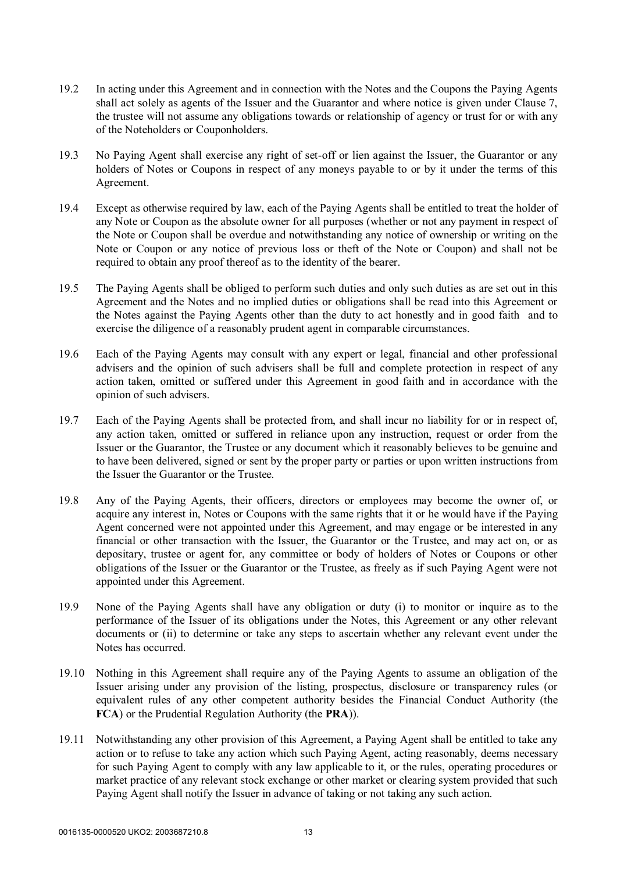- 19.2 In acting under this Agreement and in connection with the Notes and the Coupons the Paying Agents shall act solely as agents of the Issuer and the Guarantor and where notice is given under Clause 7, the trustee will not assume any obligations towards or relationship of agency or trust for or with any of the Noteholders or Couponholders.
- 19.3 No Paying Agent shall exercise any right of set-off or lien against the Issuer, the Guarantor or any holders of Notes or Coupons in respect of any moneys payable to or by it under the terms of this Agreement.
- 19.4 Except as otherwise required by law, each of the Paying Agents shall be entitled to treat the holder of any Note or Coupon as the absolute owner for all purposes (whether or not any payment in respect of the Note or Coupon shall be overdue and notwithstanding any notice of ownership or writing on the Note or Coupon or any notice of previous loss or theft of the Note or Coupon) and shall not be required to obtain any proof thereof as to the identity of the bearer.
- 19.5 The Paying Agents shall be obliged to perform such duties and only such duties as are set out in this Agreement and the Notes and no implied duties or obligations shall be read into this Agreement or the Notes against the Paying Agents other than the duty to act honestly and in good faith and to exercise the diligence of a reasonably prudent agent in comparable circumstances.
- 19.6 Each of the Paying Agents may consult with any expert or legal, financial and other professional advisers and the opinion of such advisers shall be full and complete protection in respect of any action taken, omitted or suffered under this Agreement in good faith and in accordance with the opinion of such advisers.
- 19.7 Each of the Paying Agents shall be protected from, and shall incur no liability for or in respect of, any action taken, omitted or suffered in reliance upon any instruction, request or order from the Issuer or the Guarantor, the Trustee or any document which it reasonably believes to be genuine and to have been delivered, signed or sent by the proper party or parties or upon written instructions from the Issuer the Guarantor or the Trustee.
- 19.8 Any of the Paying Agents, their officers, directors or employees may become the owner of, or acquire any interest in, Notes or Coupons with the same rights that it or he would have if the Paying Agent concerned were not appointed under this Agreement, and may engage or be interested in any financial or other transaction with the Issuer, the Guarantor or the Trustee, and may act on, or as depositary, trustee or agent for, any committee or body of holders of Notes or Coupons or other obligations of the Issuer or the Guarantor or the Trustee, as freely as if such Paying Agent were not appointed under this Agreement.
- 19.9 None of the Paying Agents shall have any obligation or duty (i) to monitor or inquire as to the performance of the Issuer of its obligations under the Notes, this Agreement or any other relevant documents or (ii) to determine or take any steps to ascertain whether any relevant event under the Notes has occurred.
- 19.10 Nothing in this Agreement shall require any of the Paying Agents to assume an obligation of the Issuer arising under any provision of the listing, prospectus, disclosure or transparency rules (or equivalent rules of any other competent authority besides the Financial Conduct Authority (the **FCA**) or the Prudential Regulation Authority (the **PRA**)).
- 19.11 Notwithstanding any other provision of this Agreement, a Paying Agent shall be entitled to take any action or to refuse to take any action which such Paying Agent, acting reasonably, deems necessary for such Paying Agent to comply with any law applicable to it, or the rules, operating procedures or market practice of any relevant stock exchange or other market or clearing system provided that such Paying Agent shall notify the Issuer in advance of taking or not taking any such action.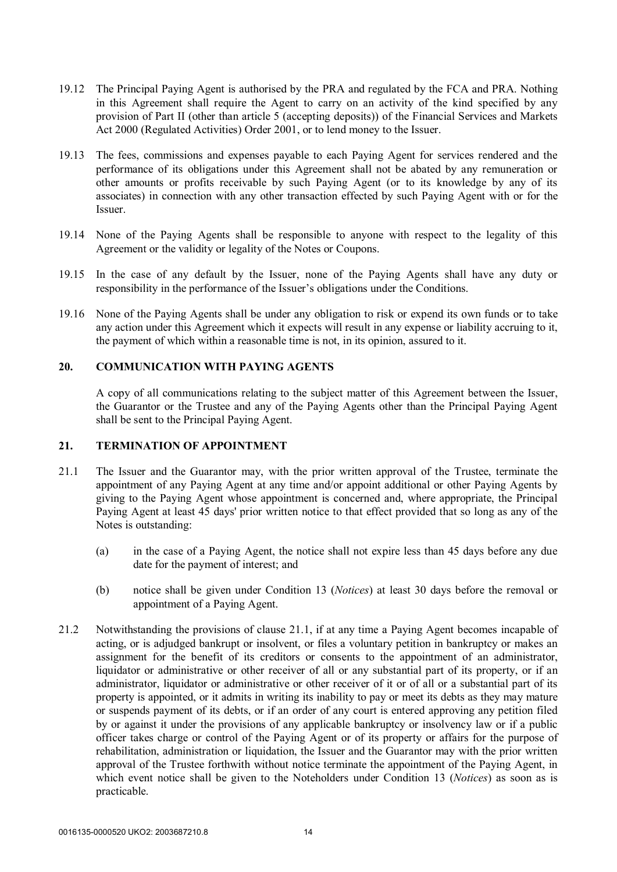- 19.12 The Principal Paying Agent is authorised by the PRA and regulated by the FCA and PRA. Nothing in this Agreement shall require the Agent to carry on an activity of the kind specified by any provision of Part II (other than article 5 (accepting deposits)) of the Financial Services and Markets Act 2000 (Regulated Activities) Order 2001, or to lend money to the Issuer.
- 19.13 The fees, commissions and expenses payable to each Paying Agent for services rendered and the performance of its obligations under this Agreement shall not be abated by any remuneration or other amounts or profits receivable by such Paying Agent (or to its knowledge by any of its associates) in connection with any other transaction effected by such Paying Agent with or for the Issuer.
- 19.14 None of the Paying Agents shall be responsible to anyone with respect to the legality of this Agreement or the validity or legality of the Notes or Coupons.
- 19.15 In the case of any default by the Issuer, none of the Paying Agents shall have any duty or responsibility in the performance of the Issuer's obligations under the Conditions.
- 19.16 None of the Paying Agents shall be under any obligation to risk or expend its own funds or to take any action under this Agreement which it expects will result in any expense or liability accruing to it, the payment of which within a reasonable time is not, in its opinion, assured to it.

#### **20. COMMUNICATION WITH PAYING AGENTS**

A copy of all communications relating to the subject matter of this Agreement between the Issuer, the Guarantor or the Trustee and any of the Paying Agents other than the Principal Paying Agent shall be sent to the Principal Paying Agent.

#### **21. TERMINATION OF APPOINTMENT**

- 21.1 The Issuer and the Guarantor may, with the prior written approval of the Trustee, terminate the appointment of any Paying Agent at any time and/or appoint additional or other Paying Agents by giving to the Paying Agent whose appointment is concerned and, where appropriate, the Principal Paying Agent at least 45 days' prior written notice to that effect provided that so long as any of the Notes is outstanding:
	- (a) in the case of a Paying Agent, the notice shall not expire less than 45 days before any due date for the payment of interest; and
	- (b) notice shall be given under Condition 13 (*Notices*) at least 30 days before the removal or appointment of a Paying Agent.
- 21.2 Notwithstanding the provisions of clause 21.1, if at any time a Paying Agent becomes incapable of acting, or is adjudged bankrupt or insolvent, or files a voluntary petition in bankruptcy or makes an assignment for the benefit of its creditors or consents to the appointment of an administrator, liquidator or administrative or other receiver of all or any substantial part of its property, or if an administrator, liquidator or administrative or other receiver of it or of all or a substantial part of its property is appointed, or it admits in writing its inability to pay or meet its debts as they may mature or suspends payment of its debts, or if an order of any court is entered approving any petition filed by or against it under the provisions of any applicable bankruptcy or insolvency law or if a public officer takes charge or control of the Paying Agent or of its property or affairs for the purpose of rehabilitation, administration or liquidation, the Issuer and the Guarantor may with the prior written approval of the Trustee forthwith without notice terminate the appointment of the Paying Agent, in which event notice shall be given to the Noteholders under Condition 13 (*Notices*) as soon as is practicable.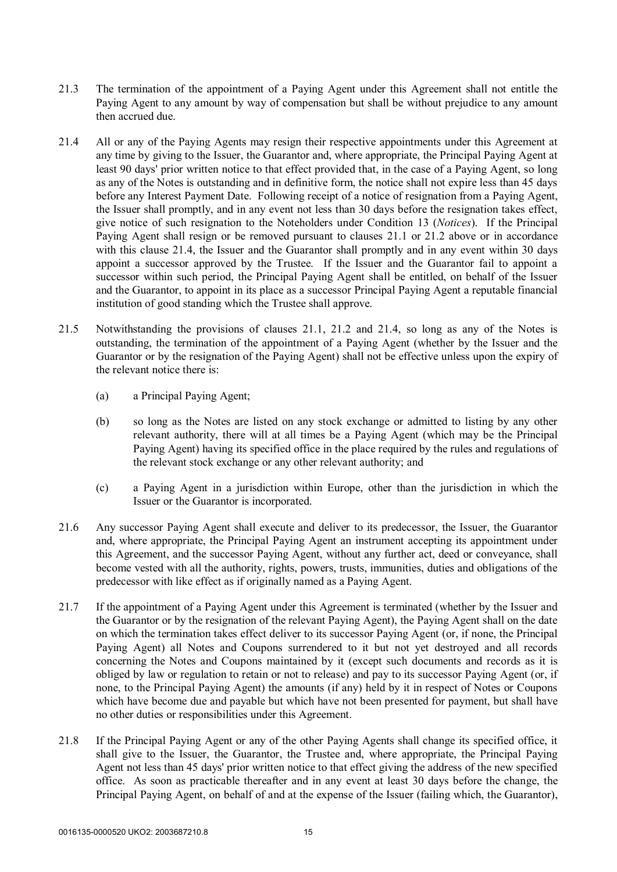- 21.3 The termination of the appointment of a Paying Agent under this Agreement shall not entitle the Paying Agent to any amount by way of compensation but shall be without prejudice to any amount then accrued due.
- 21.4 All or any of the Paying Agents may resign their respective appointments under this Agreement at any time by giving to the Issuer, the Guarantor and, where appropriate, the Principal Paying Agent at least 90 days' prior written notice to that effect provided that, in the case of a Paying Agent, so long as any of the Notes is outstanding and in definitive form, the notice shall not expire less than 45 days before any Interest Payment Date. Following receipt of a notice of resignation from a Paying Agent, the Issuer shall promptly, and in any event not less than 30 days before the resignation takes effect, give notice of such resignation to the Noteholders under Condition 13 (*Notices*). If the Principal Paying Agent shall resign or be removed pursuant to clauses 21.1 or 21.2 above or in accordance with this clause 21.4, the Issuer and the Guarantor shall promptly and in any event within 30 days appoint a successor approved by the Trustee. If the Issuer and the Guarantor fail to appoint a successor within such period, the Principal Paying Agent shall be entitled, on behalf of the Issuer and the Guarantor, to appoint in its place as a successor Principal Paying Agent a reputable financial institution of good standing which the Trustee shall approve.
- 21.5 Notwithstanding the provisions of clauses 21.1, 21.2 and 21.4, so long as any of the Notes is outstanding, the termination of the appointment of a Paying Agent (whether by the Issuer and the Guarantor or by the resignation of the Paying Agent) shall not be effective unless upon the expiry of the relevant notice there is:
	- (a) a Principal Paying Agent;
	- (b) so long as the Notes are listed on any stock exchange or admitted to listing by any other relevant authority, there will at all times be a Paying Agent (which may be the Principal Paying Agent) having its specified office in the place required by the rules and regulations of the relevant stock exchange or any other relevant authority; and
	- (c) a Paying Agent in a jurisdiction within Europe, other than the jurisdiction in which the Issuer or the Guarantor is incorporated.
- 21.6 Any successor Paying Agent shall execute and deliver to its predecessor, the Issuer, the Guarantor and, where appropriate, the Principal Paying Agent an instrument accepting its appointment under this Agreement, and the successor Paying Agent, without any further act, deed or conveyance, shall become vested with all the authority, rights, powers, trusts, immunities, duties and obligations of the predecessor with like effect as if originally named as a Paying Agent.
- 21.7 If the appointment of a Paying Agent under this Agreement is terminated (whether by the Issuer and the Guarantor or by the resignation of the relevant Paying Agent), the Paying Agent shall on the date on which the termination takes effect deliver to its successor Paying Agent (or, if none, the Principal Paying Agent) all Notes and Coupons surrendered to it but not yet destroyed and all records concerning the Notes and Coupons maintained by it (except such documents and records as it is obliged by law or regulation to retain or not to release) and pay to its successor Paying Agent (or, if none, to the Principal Paying Agent) the amounts (if any) held by it in respect of Notes or Coupons which have become due and payable but which have not been presented for payment, but shall have no other duties or responsibilities under this Agreement.
- 21.8 If the Principal Paying Agent or any of the other Paying Agents shall change its specified office, it shall give to the Issuer, the Guarantor, the Trustee and, where appropriate, the Principal Paying Agent not less than 45 days' prior written notice to that effect giving the address of the new specified office. As soon as practicable thereafter and in any event at least 30 days before the change, the Principal Paying Agent, on behalf of and at the expense of the Issuer (failing which, the Guarantor),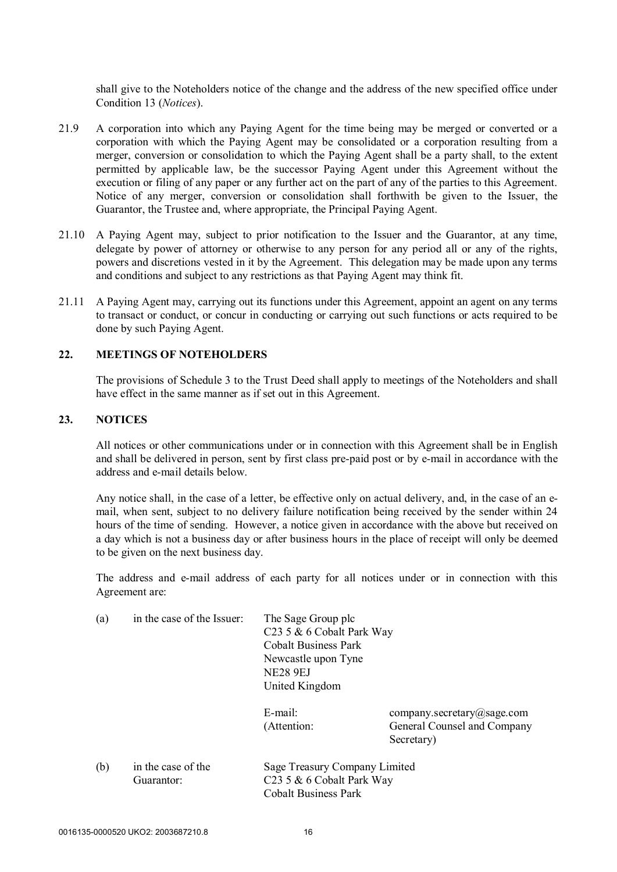shall give to the Noteholders notice of the change and the address of the new specified office under Condition 13 (*Notices*).

- 21.9 A corporation into which any Paying Agent for the time being may be merged or converted or a corporation with which the Paying Agent may be consolidated or a corporation resulting from a merger, conversion or consolidation to which the Paying Agent shall be a party shall, to the extent permitted by applicable law, be the successor Paying Agent under this Agreement without the execution or filing of any paper or any further act on the part of any of the parties to this Agreement. Notice of any merger, conversion or consolidation shall forthwith be given to the Issuer, the Guarantor, the Trustee and, where appropriate, the Principal Paying Agent.
- 21.10 A Paying Agent may, subject to prior notification to the Issuer and the Guarantor, at any time, delegate by power of attorney or otherwise to any person for any period all or any of the rights, powers and discretions vested in it by the Agreement. This delegation may be made upon any terms and conditions and subject to any restrictions as that Paying Agent may think fit.
- 21.11 A Paying Agent may, carrying out its functions under this Agreement, appoint an agent on any terms to transact or conduct, or concur in conducting or carrying out such functions or acts required to be done by such Paying Agent.

## **22. MEETINGS OF NOTEHOLDERS**

The provisions of Schedule 3 to the Trust Deed shall apply to meetings of the Noteholders and shall have effect in the same manner as if set out in this Agreement.

#### **23. NOTICES**

All notices or other communications under or in connection with this Agreement shall be in English and shall be delivered in person, sent by first class pre-paid post or by e-mail in accordance with the address and e-mail details below.

Any notice shall, in the case of a letter, be effective only on actual delivery, and, in the case of an email, when sent, subject to no delivery failure notification being received by the sender within 24 hours of the time of sending. However, a notice given in accordance with the above but received on a day which is not a business day or after business hours in the place of receipt will only be deemed to be given on the next business day.

The address and e-mail address of each party for all notices under or in connection with this Agreement are:

| (a) | in the case of the Issuer:       | The Sage Group plc<br>C <sub>23</sub> 5 & 6 Cobalt Park Way<br><b>Cobalt Business Park</b><br>Newcastle upon Tyne<br><b>NE28 9EJ</b><br>United Kingdom |                                                                         |
|-----|----------------------------------|--------------------------------------------------------------------------------------------------------------------------------------------------------|-------------------------------------------------------------------------|
|     |                                  | $E$ -mail:<br>(Attention:                                                                                                                              | company.secretary@sage.com<br>General Counsel and Company<br>Secretary) |
| (b) | in the case of the<br>Guarantor: | Sage Treasury Company Limited<br>C <sub>23</sub> 5 & 6 Cobalt Park Way<br><b>Cobalt Business Park</b>                                                  |                                                                         |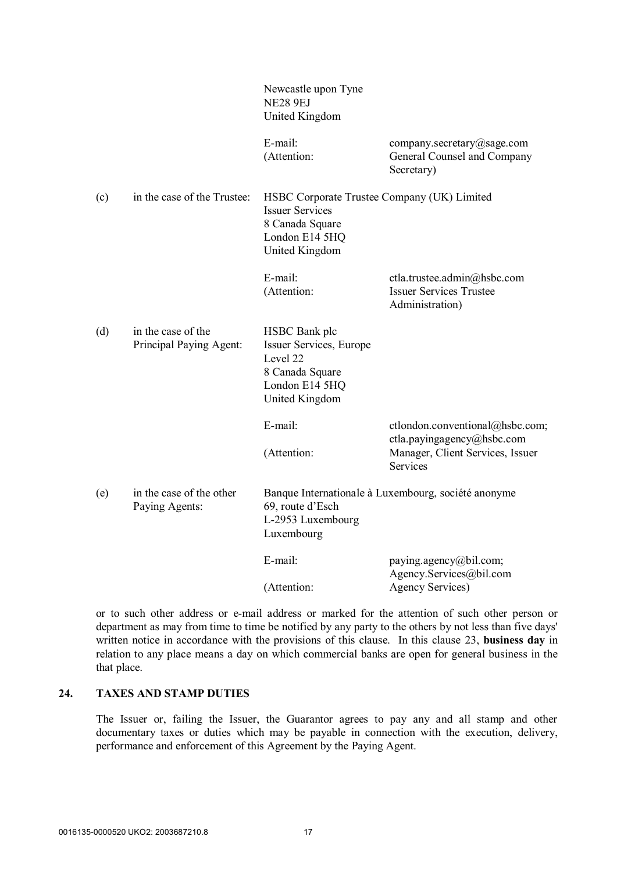|     |                                               | Newcastle upon Tyne<br><b>NE28 9EJ</b><br>United Kingdom                                                                            |                                                                                  |
|-----|-----------------------------------------------|-------------------------------------------------------------------------------------------------------------------------------------|----------------------------------------------------------------------------------|
|     |                                               | E-mail:<br>(Attention:                                                                                                              | company.secretary@sage.com<br>General Counsel and Company<br>Secretary)          |
| (c) | in the case of the Trustee:                   | HSBC Corporate Trustee Company (UK) Limited<br><b>Issuer Services</b><br>8 Canada Square<br>London E14 5HQ<br><b>United Kingdom</b> |                                                                                  |
|     |                                               | E-mail:<br>(Attention:                                                                                                              | ctla.trustee.admin@hsbc.com<br><b>Issuer Services Trustee</b><br>Administration) |
| (d) | in the case of the<br>Principal Paying Agent: | HSBC Bank plc<br>Issuer Services, Europe<br>Level 22<br>8 Canada Square<br>London E14 5HQ<br>United Kingdom                         |                                                                                  |
|     |                                               | E-mail:                                                                                                                             | ctlondon.conventional@hsbc.com;                                                  |
|     |                                               | (Attention:                                                                                                                         | ctla.payingagency@hsbc.com<br>Manager, Client Services, Issuer<br>Services       |
| (e) | in the case of the other<br>Paying Agents:    | Banque Internationale à Luxembourg, société anonyme<br>69, route d'Esch<br>L-2953 Luxembourg<br>Luxembourg                          |                                                                                  |
|     |                                               | E-mail:                                                                                                                             | paying.agency@bil.com;<br>Agency.Services@bil.com                                |
|     |                                               | (Attention:                                                                                                                         | <b>Agency Services</b> )                                                         |

or to such other address or e-mail address or marked for the attention of such other person or department as may from time to time be notified by any party to the others by not less than five days' written notice in accordance with the provisions of this clause. In this clause 23, **business day** in relation to any place means a day on which commercial banks are open for general business in the that place.

## **24. TAXES AND STAMP DUTIES**

The Issuer or, failing the Issuer, the Guarantor agrees to pay any and all stamp and other documentary taxes or duties which may be payable in connection with the execution, delivery, performance and enforcement of this Agreement by the Paying Agent.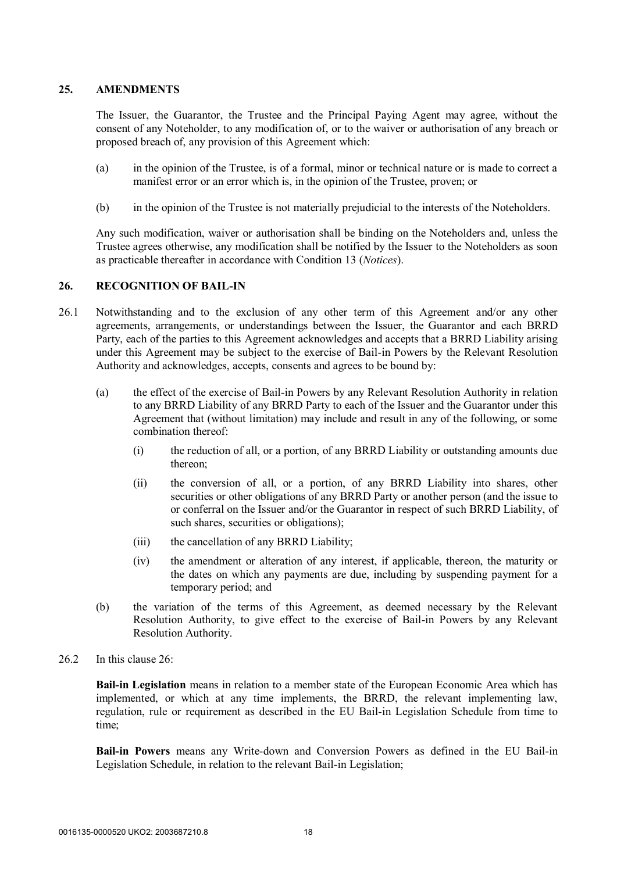#### **25. AMENDMENTS**

The Issuer, the Guarantor, the Trustee and the Principal Paying Agent may agree, without the consent of any Noteholder, to any modification of, or to the waiver or authorisation of any breach or proposed breach of, any provision of this Agreement which:

- (a) in the opinion of the Trustee, is of a formal, minor or technical nature or is made to correct a manifest error or an error which is, in the opinion of the Trustee, proven; or
- (b) in the opinion of the Trustee is not materially prejudicial to the interests of the Noteholders.

Any such modification, waiver or authorisation shall be binding on the Noteholders and, unless the Trustee agrees otherwise, any modification shall be notified by the Issuer to the Noteholders as soon as practicable thereafter in accordance with Condition 13 (*Notices*).

### **26. RECOGNITION OF BAIL-IN**

- 26.1 Notwithstanding and to the exclusion of any other term of this Agreement and/or any other agreements, arrangements, or understandings between the Issuer, the Guarantor and each BRRD Party, each of the parties to this Agreement acknowledges and accepts that a BRRD Liability arising under this Agreement may be subject to the exercise of Bail-in Powers by the Relevant Resolution Authority and acknowledges, accepts, consents and agrees to be bound by:
	- (a) the effect of the exercise of Bail-in Powers by any Relevant Resolution Authority in relation to any BRRD Liability of any BRRD Party to each of the Issuer and the Guarantor under this Agreement that (without limitation) may include and result in any of the following, or some combination thereof:
		- (i) the reduction of all, or a portion, of any BRRD Liability or outstanding amounts due thereon;
		- (ii) the conversion of all, or a portion, of any BRRD Liability into shares, other securities or other obligations of any BRRD Party or another person (and the issue to or conferral on the Issuer and/or the Guarantor in respect of such BRRD Liability, of such shares, securities or obligations);
		- (iii) the cancellation of any BRRD Liability;
		- (iv) the amendment or alteration of any interest, if applicable, thereon, the maturity or the dates on which any payments are due, including by suspending payment for a temporary period; and
	- (b) the variation of the terms of this Agreement, as deemed necessary by the Relevant Resolution Authority, to give effect to the exercise of Bail-in Powers by any Relevant Resolution Authority.
- 26.2 In this clause  $26$

**Bail-in Legislation** means in relation to a member state of the European Economic Area which has implemented, or which at any time implements, the BRRD, the relevant implementing law, regulation, rule or requirement as described in the EU Bail-in Legislation Schedule from time to time;

**Bail-in Powers** means any Write-down and Conversion Powers as defined in the EU Bail-in Legislation Schedule, in relation to the relevant Bail-in Legislation;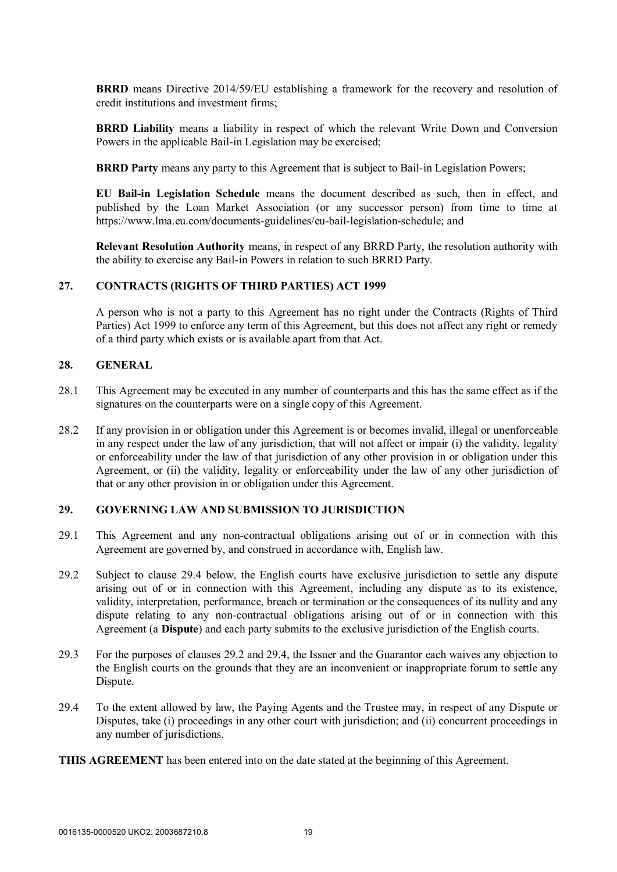**BRRD** means Directive 2014/59/EU establishing a framework for the recovery and resolution of credit institutions and investment firms;

**BRRD Liability** means a liability in respect of which the relevant Write Down and Conversion Powers in the applicable Bail-in Legislation may be exercised;

**BRRD Party** means any party to this Agreement that is subject to Bail-in Legislation Powers;

**EU Bail-in Legislation Schedule** means the document described as such, then in effect, and published by the Loan Market Association (or any successor person) from time to time at https://www.lma.eu.com/documents-guidelines/eu-bail-legislation-schedule; and

**Relevant Resolution Authority** means, in respect of any BRRD Party, the resolution authority with the ability to exercise any Bail-in Powers in relation to such BRRD Party.

#### **27. CONTRACTS (RIGHTS OF THIRD PARTIES) ACT 1999**

A person who is not a party to this Agreement has no right under the Contracts (Rights of Third Parties) Act 1999 to enforce any term of this Agreement, but this does not affect any right or remedy of a third party which exists or is available apart from that Act.

#### **28. GENERAL**

- 28.1 This Agreement may be executed in any number of counterparts and this has the same effect as if the signatures on the counterparts were on a single copy of this Agreement.
- 28.2 If any provision in or obligation under this Agreement is or becomes invalid, illegal or unenforceable in any respect under the law of any jurisdiction, that will not affect or impair (i) the validity, legality or enforceability under the law of that jurisdiction of any other provision in or obligation under this Agreement, or (ii) the validity, legality or enforceability under the law of any other jurisdiction of that or any other provision in or obligation under this Agreement.

#### **29. GOVERNING LAW AND SUBMISSION TO JURISDICTION**

- 29.1 This Agreement and any non-contractual obligations arising out of or in connection with this Agreement are governed by, and construed in accordance with, English law.
- 29.2 Subject to clause 29.4 below, the English courts have exclusive jurisdiction to settle any dispute arising out of or in connection with this Agreement, including any dispute as to its existence, validity, interpretation, performance, breach or termination or the consequences of its nullity and any dispute relating to any non-contractual obligations arising out of or in connection with this Agreement (a **Dispute**) and each party submits to the exclusive jurisdiction of the English courts.
- 29.3 For the purposes of clauses 29.2 and 29.4, the Issuer and the Guarantor each waives any objection to the English courts on the grounds that they are an inconvenient or inappropriate forum to settle any Dispute.
- 29.4 To the extent allowed by law, the Paying Agents and the Trustee may, in respect of any Dispute or Disputes, take (i) proceedings in any other court with jurisdiction; and (ii) concurrent proceedings in any number of jurisdictions.

**THIS AGREEMENT** has been entered into on the date stated at the beginning of this Agreement.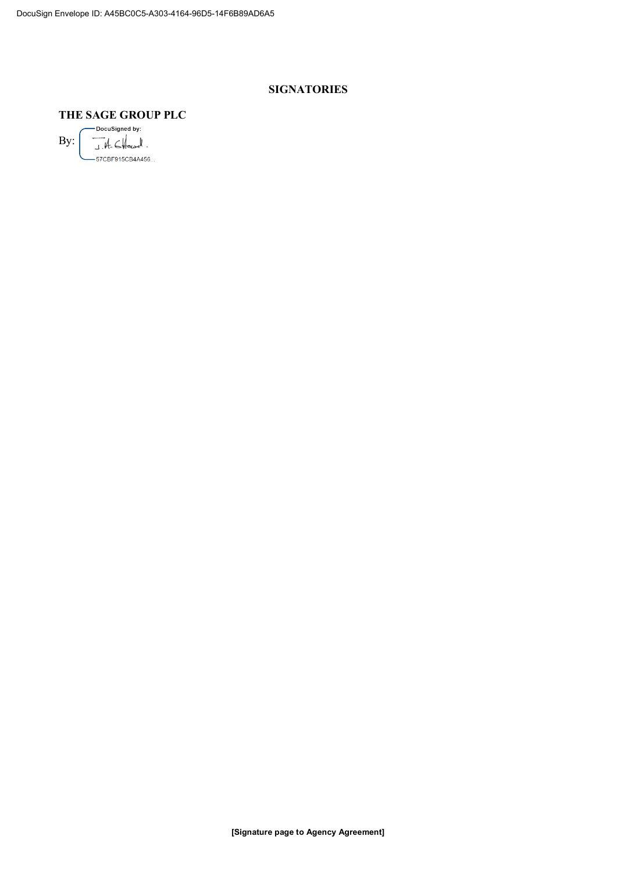## **SIGNATORIES**

## **THE SAGE GROUP PLC**

-DocuSigned by: By:  $J.H.$   $CHend$ .  $\leftarrow$ -57CBF915CB4A456...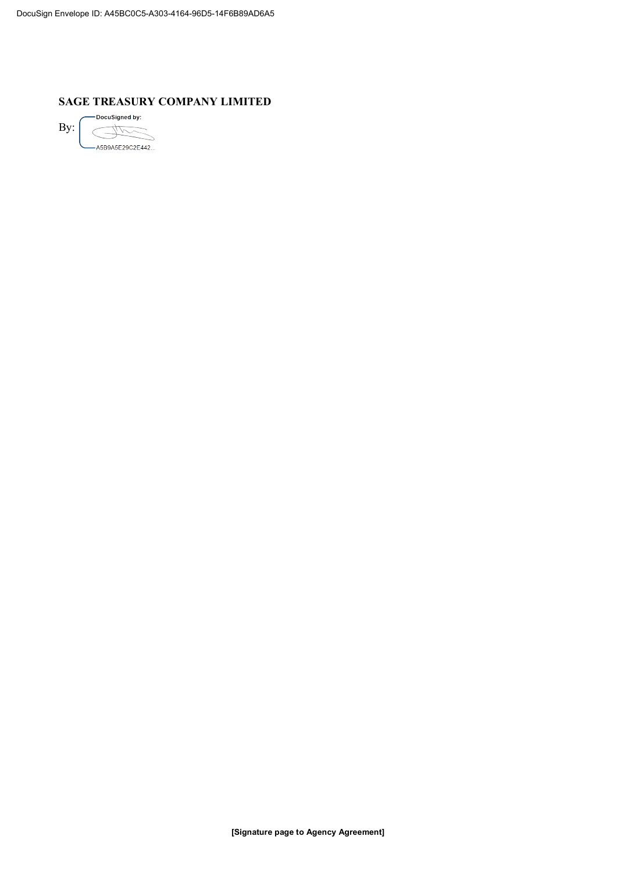#### **SAGE TREASURY COMPANY LIMITED**

-DocuSigned by: By:  $\epsilon$ L. A5B9A5E29C2E442...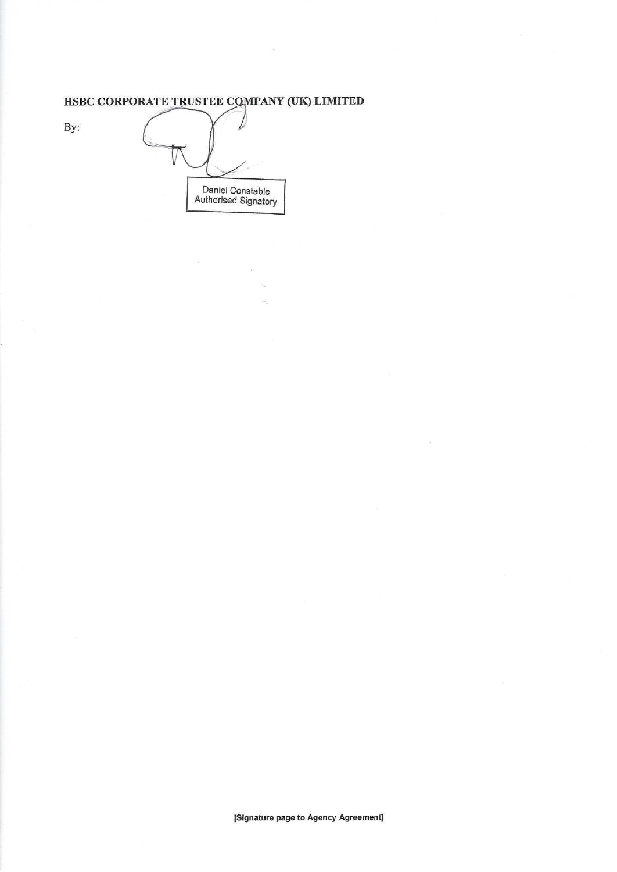## HSBC CORPORATE TRUSTEE COMPANY (UK) LIMITED

By:

| Daniel Constable<br>Authorised Signatory |  |
|------------------------------------------|--|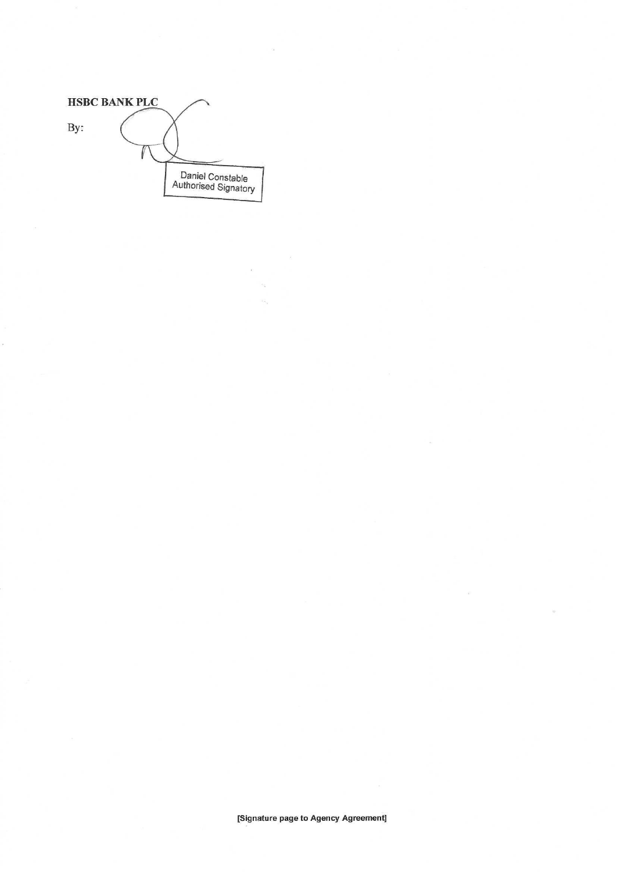|     | <b>HSBC BANK PLC</b> |                                          |
|-----|----------------------|------------------------------------------|
| By: |                      |                                          |
|     |                      |                                          |
|     |                      | Daniel Constable<br>Authorised Signatory |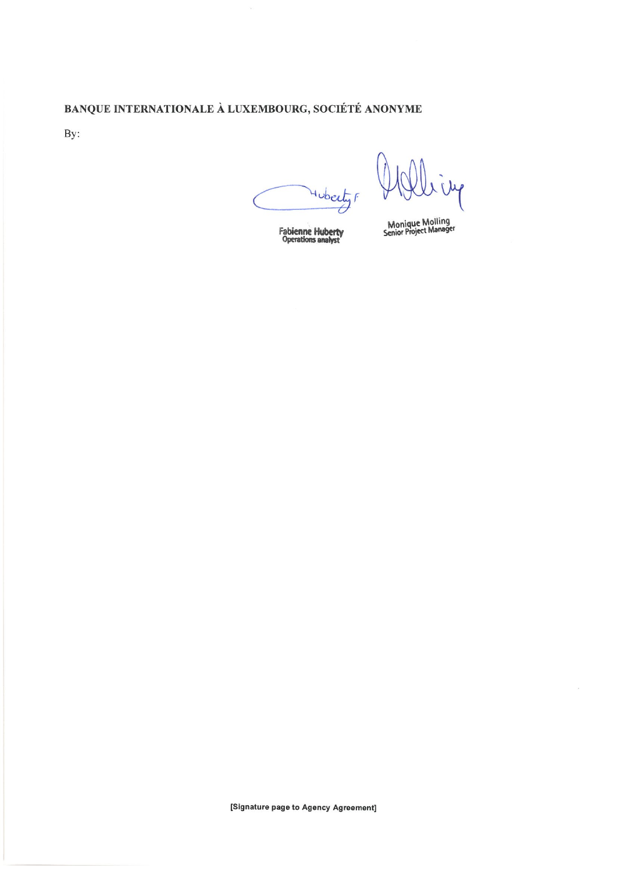## BANQUE INTERNATIONALE À LUXEMBOURG, SOCIÉTÉ ANONYME

By:

Huberty F

iily

**Fabienne Huberty**<br>Operations analyst

Monique Molling<br>Senior Project Manager

x.

[Signature page to Agency Agreement]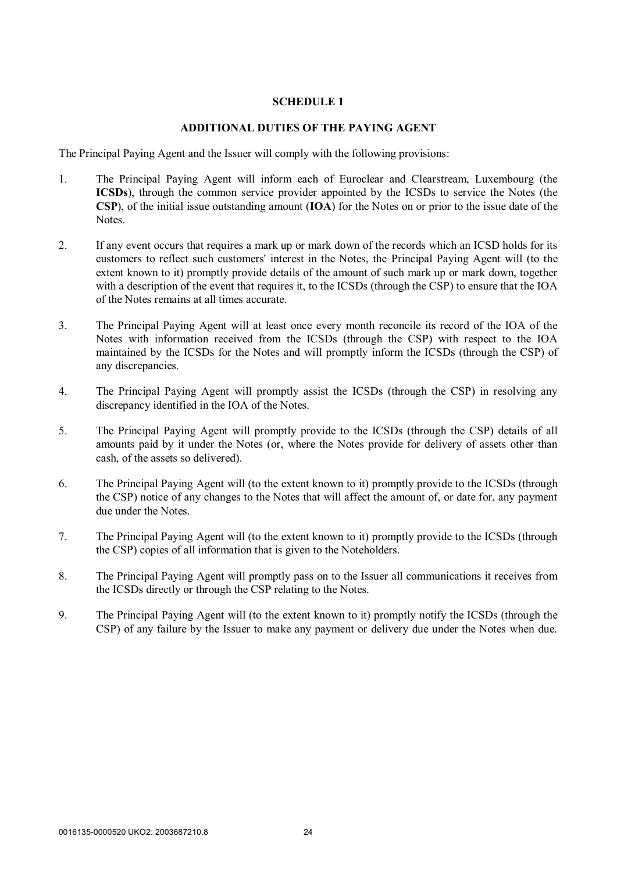#### **SCHEDULE 1**

#### **ADDITIONAL DUTIES OF THE PAYING AGENT**

The Principal Paying Agent and the Issuer will comply with the following provisions:

- 1. The Principal Paying Agent will inform each of Euroclear and Clearstream, Luxembourg (the **ICSDs**), through the common service provider appointed by the ICSDs to service the Notes (the **CSP**), of the initial issue outstanding amount (**IOA**) for the Notes on or prior to the issue date of the Notes.
- 2. If any event occurs that requires a mark up or mark down of the records which an ICSD holds for its customers to reflect such customers' interest in the Notes, the Principal Paying Agent will (to the extent known to it) promptly provide details of the amount of such mark up or mark down, together with a description of the event that requires it, to the ICSDs (through the CSP) to ensure that the IOA of the Notes remains at all times accurate.
- 3. The Principal Paying Agent will at least once every month reconcile its record of the IOA of the Notes with information received from the ICSDs (through the CSP) with respect to the IOA maintained by the ICSDs for the Notes and will promptly inform the ICSDs (through the CSP) of any discrepancies.
- 4. The Principal Paying Agent will promptly assist the ICSDs (through the CSP) in resolving any discrepancy identified in the IOA of the Notes.
- 5. The Principal Paying Agent will promptly provide to the ICSDs (through the CSP) details of all amounts paid by it under the Notes (or, where the Notes provide for delivery of assets other than cash, of the assets so delivered).
- 6. The Principal Paying Agent will (to the extent known to it) promptly provide to the ICSDs (through the CSP) notice of any changes to the Notes that will affect the amount of, or date for, any payment due under the Notes.
- 7. The Principal Paying Agent will (to the extent known to it) promptly provide to the ICSDs (through the CSP) copies of all information that is given to the Noteholders.
- 8. The Principal Paying Agent will promptly pass on to the Issuer all communications it receives from the ICSDs directly or through the CSP relating to the Notes.
- 9. The Principal Paying Agent will (to the extent known to it) promptly notify the ICSDs (through the CSP) of any failure by the Issuer to make any payment or delivery due under the Notes when due.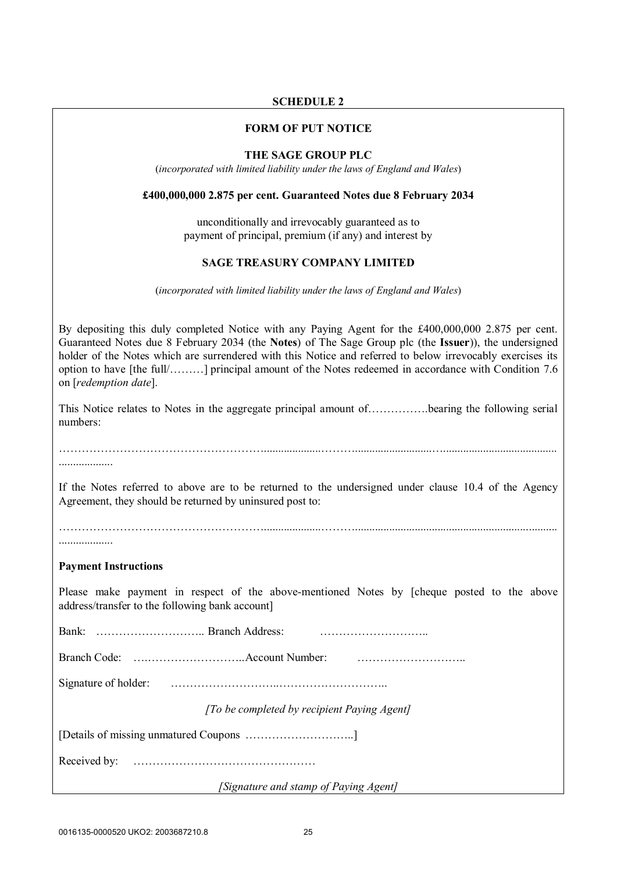## **SCHEDULE 2**

#### **FORM OF PUT NOTICE**

#### **THE SAGE GROUP PLC**

(*incorporated with limited liability under the laws of England and Wales*)

#### **£400,000,000 2.875 per cent. Guaranteed Notes due 8 February 2034**

unconditionally and irrevocably guaranteed as to payment of principal, premium (if any) and interest by

#### **SAGE TREASURY COMPANY LIMITED**

(*incorporated with limited liability under the laws of England and Wales*)

By depositing this duly completed Notice with any Paying Agent for the £400,000,000 2.875 per cent. Guaranteed Notes due 8 February 2034 (the **Notes**) of The Sage Group plc (the **Issuer**)), the undersigned holder of the Notes which are surrendered with this Notice and referred to below irrevocably exercises its option to have [the full/………] principal amount of the Notes redeemed in accordance with Condition 7.6 on [*redemption date*].

This Notice relates to Notes in the aggregate principal amount of…………….bearing the following serial numbers:

………………………………………………....................………...........................…........................................

If the Notes referred to above are to be returned to the undersigned under clause 10.4 of the Agency Agreement, they should be returned by uninsured post to:

………………………………………………....................……….......................................................................

#### **Payment Instructions**

...................

Please make payment in respect of the above-mentioned Notes by [cheque posted to the above address/transfer to the following bank account]

Bank: ……………………….. Branch Address: ………………………..

Branch Code: ….……………………..Account Number: ………………………..

Signature of holder: ………………………..………………………..

*[To be completed by recipient Paying Agent]*

[Details of missing unmatured Coupons ………………………..]

Received by: …………………………………………

*[Signature and stamp of Paying Agent]*